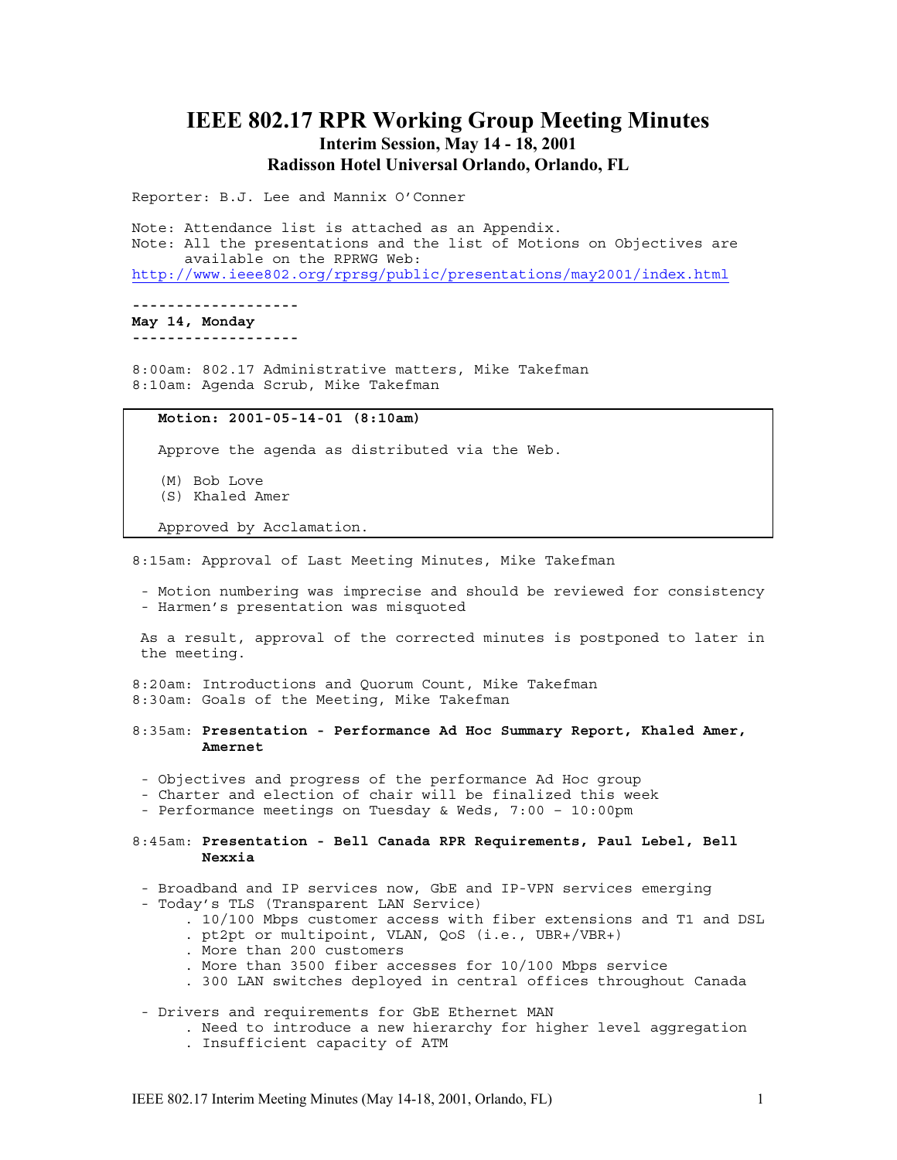# **IEEE 802.17 RPR Working Group Meeting Minutes Interim Session, May 14 - 18, 2001 Radisson Hotel Universal Orlando, Orlando, FL**

Reporter: B.J. Lee and Mannix O'Conner

Note: Attendance list is attached as an Appendix. Note: All the presentations and the list of Motions on Objectives are available on the RPRWG Web: http://www.ieee802.org/rprsg/public/presentations/may2001/index.html

**------------------- May 14, Monday**

**-------------------**

8:00am: 802.17 Administrative matters, Mike Takefman 8:10am: Agenda Scrub, Mike Takefman

### **Motion: 2001-05-14-01 (8:10am)**

Approve the agenda as distributed via the Web.

(M) Bob Love

(S) Khaled Amer

Approved by Acclamation.

8:15am: Approval of Last Meeting Minutes, Mike Takefman

- Motion numbering was imprecise and should be reviewed for consistency - Harmen's presentation was misquoted

As a result, approval of the corrected minutes is postponed to later in the meeting.

8:20am: Introductions and Quorum Count, Mike Takefman 8:30am: Goals of the Meeting, Mike Takefman

- 8:35am: **Presentation Performance Ad Hoc Summary Report, Khaled Amer, Amernet**
- Objectives and progress of the performance Ad Hoc group
- Charter and election of chair will be finalized this week
- Performance meetings on Tuesday & Weds, 7:00 10:00pm
- 8:45am: **Presentation Bell Canada RPR Requirements, Paul Lebel, Bell Nexxia**
- Broadband and IP services now, GbE and IP-VPN services emerging
- Today's TLS (Transparent LAN Service)
	- . 10/100 Mbps customer access with fiber extensions and T1 and DSL
	- . pt2pt or multipoint, VLAN, QoS (i.e., UBR+/VBR+)
	- . More than 200 customers
	- . More than 3500 fiber accesses for 10/100 Mbps service
	- . 300 LAN switches deployed in central offices throughout Canada
- Drivers and requirements for GbE Ethernet MAN
	- . Need to introduce a new hierarchy for higher level aggregation
	- . Insufficient capacity of ATM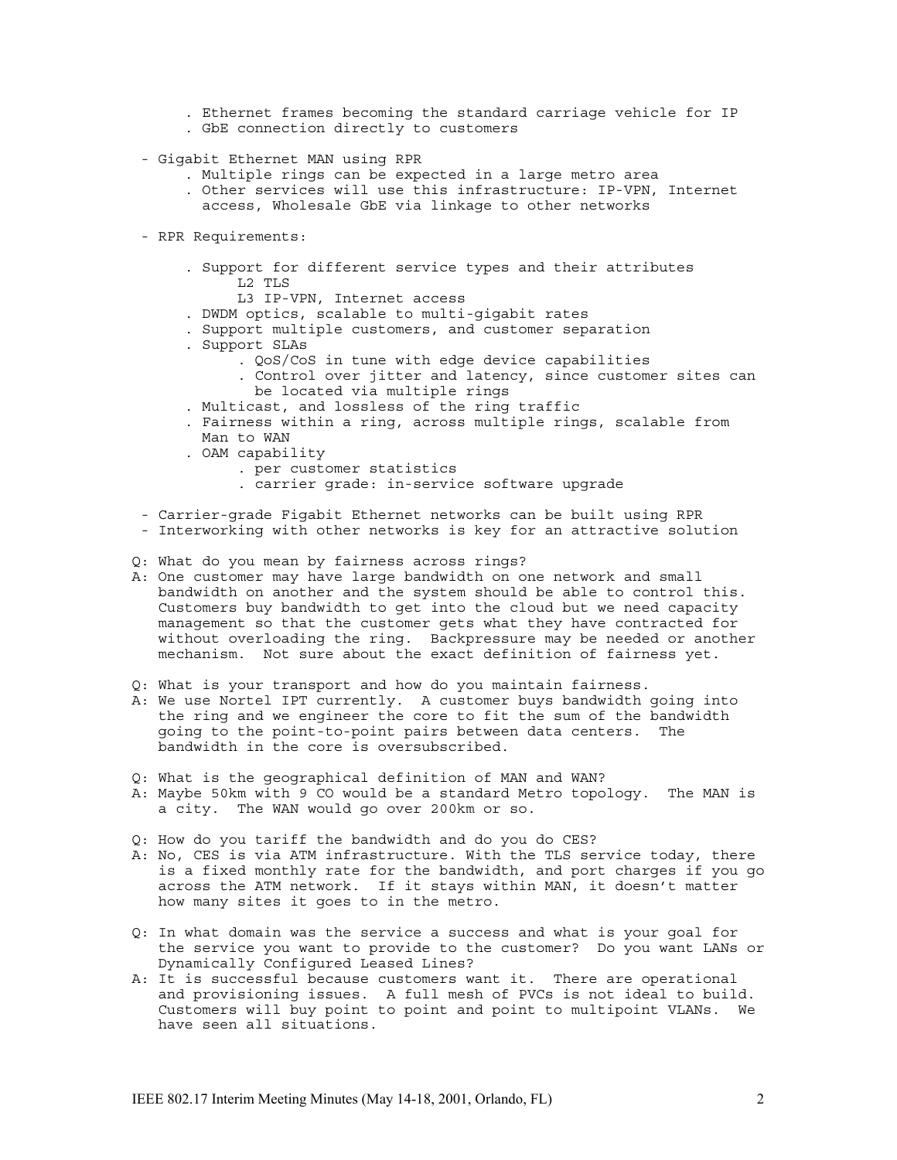. Ethernet frames becoming the standard carriage vehicle for IP . GbE connection directly to customers

- Gigabit Ethernet MAN using RPR
	- . Multiple rings can be expected in a large metro area
	- . Other services will use this infrastructure: IP-VPN, Internet access, Wholesale GbE via linkage to other networks
- RPR Requirements:
	- . Support for different service types and their attributes L2 TLS
		- L3 IP-VPN, Internet access
	- . DWDM optics, scalable to multi-gigabit rates
	- . Support multiple customers, and customer separation
	- . Support SLAs
		- . QoS/CoS in tune with edge device capabilities
		- . Control over jitter and latency, since customer sites can be located via multiple rings
	- . Multicast, and lossless of the ring traffic
	- . Fairness within a ring, across multiple rings, scalable from Man to WAN
	- . OAM capability
		- . per customer statistics
		- . carrier grade: in-service software upgrade
- Carrier-grade Figabit Ethernet networks can be built using RPR
- Interworking with other networks is key for an attractive solution
- Q: What do you mean by fairness across rings?
- A: One customer may have large bandwidth on one network and small bandwidth on another and the system should be able to control this. Customers buy bandwidth to get into the cloud but we need capacity management so that the customer gets what they have contracted for without overloading the ring. Backpressure may be needed or another mechanism. Not sure about the exact definition of fairness yet.
- Q: What is your transport and how do you maintain fairness.
- A: We use Nortel IPT currently. A customer buys bandwidth going into the ring and we engineer the core to fit the sum of the bandwidth going to the point-to-point pairs between data centers. The bandwidth in the core is oversubscribed.
- Q: What is the geographical definition of MAN and WAN?
- A: Maybe 50km with 9 CO would be a standard Metro topology. The MAN is a city. The WAN would go over 200km or so.
- Q: How do you tariff the bandwidth and do you do CES?
- A: No, CES is via ATM infrastructure. With the TLS service today, there is a fixed monthly rate for the bandwidth, and port charges if you go across the ATM network. If it stays within MAN, it doesn't matter how many sites it goes to in the metro.
- Q: In what domain was the service a success and what is your goal for the service you want to provide to the customer? Do you want LANs or Dynamically Configured Leased Lines?
- A: It is successful because customers want it. There are operational and provisioning issues. A full mesh of PVCs is not ideal to build. Customers will buy point to point and point to multipoint VLANs. We have seen all situations.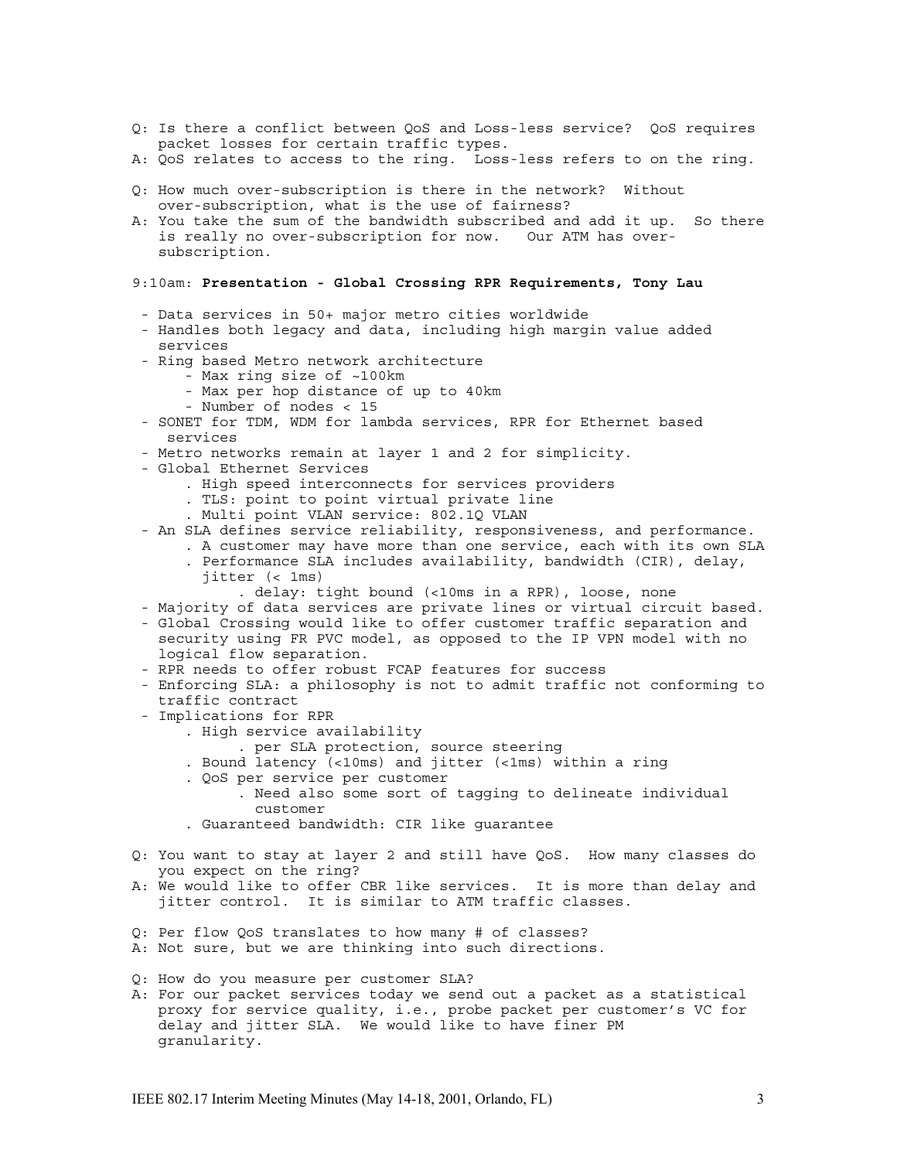- Q: Is there a conflict between QoS and Loss-less service? QoS requires packet losses for certain traffic types.
- A: QoS relates to access to the ring. Loss-less refers to on the ring.
- Q: How much over-subscription is there in the network? Without over-subscription, what is the use of fairness?
- A: You take the sum of the bandwidth subscribed and add it up. So there is really no over-subscription for now. Our ATM has oversubscription.

### 9:10am: **Presentation - Global Crossing RPR Requirements, Tony Lau**

- Data services in 50+ major metro cities worldwide
- Handles both legacy and data, including high margin value added services
- Ring based Metro network architecture
	- Max ring size of ~100km
	- Max per hop distance of up to 40km
	- Number of nodes < 15
- SONET for TDM, WDM for lambda services, RPR for Ethernet based services
- Metro networks remain at layer 1 and 2 for simplicity.
- Global Ethernet Services
	- . High speed interconnects for services providers
	- . TLS: point to point virtual private line
	- . Multi point VLAN service: 802.1Q VLAN
- An SLA defines service reliability, responsiveness, and performance.
	- . A customer may have more than one service, each with its own SLA . Performance SLA includes availability, bandwidth (CIR), delay,
		- jitter (< 1ms)
			- . delay: tight bound (<10ms in a RPR), loose, none
- Majority of data services are private lines or virtual circuit based.
- Global Crossing would like to offer customer traffic separation and security using FR PVC model, as opposed to the IP VPN model with no logical flow separation.
- RPR needs to offer robust FCAP features for success
- Enforcing SLA: a philosophy is not to admit traffic not conforming to traffic contract
- Implications for RPR
	- . High service availability
		- . per SLA protection, source steering
	- . Bound latency (<10ms) and jitter (<1ms) within a ring
	- . QoS per service per customer
		- . Need also some sort of tagging to delineate individual customer
	- . Guaranteed bandwidth: CIR like guarantee
- Q: You want to stay at layer 2 and still have QoS. How many classes do you expect on the ring?
- A: We would like to offer CBR like services. It is more than delay and jitter control. It is similar to ATM traffic classes.
- Q: Per flow QoS translates to how many # of classes?
- A: Not sure, but we are thinking into such directions.
- Q: How do you measure per customer SLA?
- A: For our packet services today we send out a packet as a statistical proxy for service quality, i.e., probe packet per customer's VC for delay and jitter SLA. We would like to have finer PM granularity.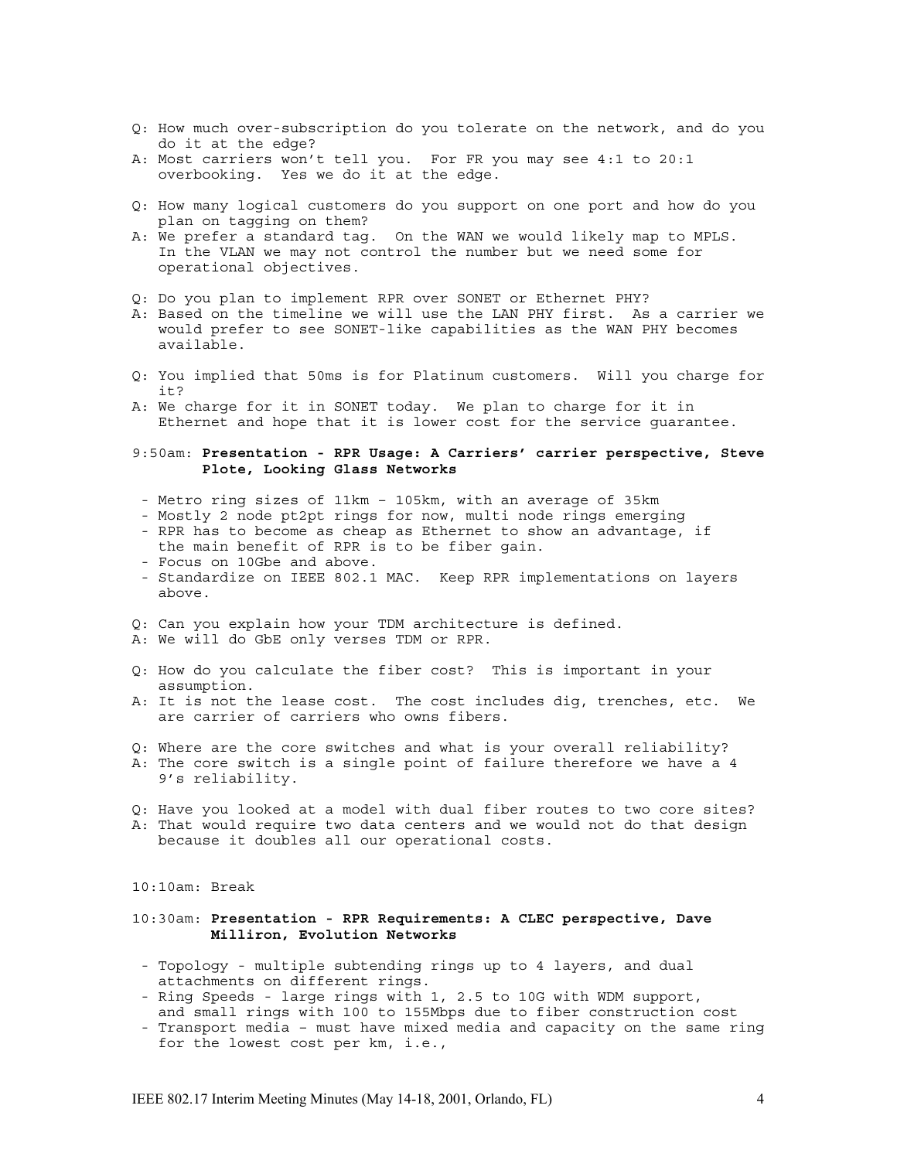- Q: How much over-subscription do you tolerate on the network, and do you do it at the edge?
- A: Most carriers won't tell you. For FR you may see 4:1 to 20:1 overbooking. Yes we do it at the edge.
- Q: How many logical customers do you support on one port and how do you plan on tagging on them?
- A: We prefer a standard tag. On the WAN we would likely map to MPLS. In the VLAN we may not control the number but we need some for operational objectives.
- Q: Do you plan to implement RPR over SONET or Ethernet PHY?
- A: Based on the timeline we will use the LAN PHY first. As a carrier we would prefer to see SONET-like capabilities as the WAN PHY becomes available.
- Q: You implied that 50ms is for Platinum customers. Will you charge for it?
- A: We charge for it in SONET today. We plan to charge for it in Ethernet and hope that it is lower cost for the service guarantee.
- 9:50am: **Presentation RPR Usage: A Carriers' carrier perspective, Steve Plote, Looking Glass Networks**
- Metro ring sizes of 11km 105km, with an average of 35km
- Mostly 2 node pt2pt rings for now, multi node rings emerging - RPR has to become as cheap as Ethernet to show an advantage, if
- the main benefit of RPR is to be fiber gain. - Focus on 10Gbe and above.
- 
- Standardize on IEEE 802.1 MAC. Keep RPR implementations on layers above.
- Q: Can you explain how your TDM architecture is defined.
- A: We will do GbE only verses TDM or RPR.
- Q: How do you calculate the fiber cost? This is important in your assumption.
- A: It is not the lease cost. The cost includes dig, trenches, etc. We are carrier of carriers who owns fibers.
- Q: Where are the core switches and what is your overall reliability?
- A: The core switch is a single point of failure therefore we have a 4 9's reliability.
- Q: Have you looked at a model with dual fiber routes to two core sites? A: That would require two data centers and we would not do that design because it doubles all our operational costs.

10:10am: Break

# 10:30am: **Presentation - RPR Requirements: A CLEC perspective, Dave Milliron, Evolution Networks**

- Topology multiple subtending rings up to 4 layers, and dual attachments on different rings.
- Ring Speeds large rings with 1, 2.5 to 10G with WDM support, and small rings with 100 to 155Mbps due to fiber construction cost
- Transport media must have mixed media and capacity on the same ring for the lowest cost per km, i.e.,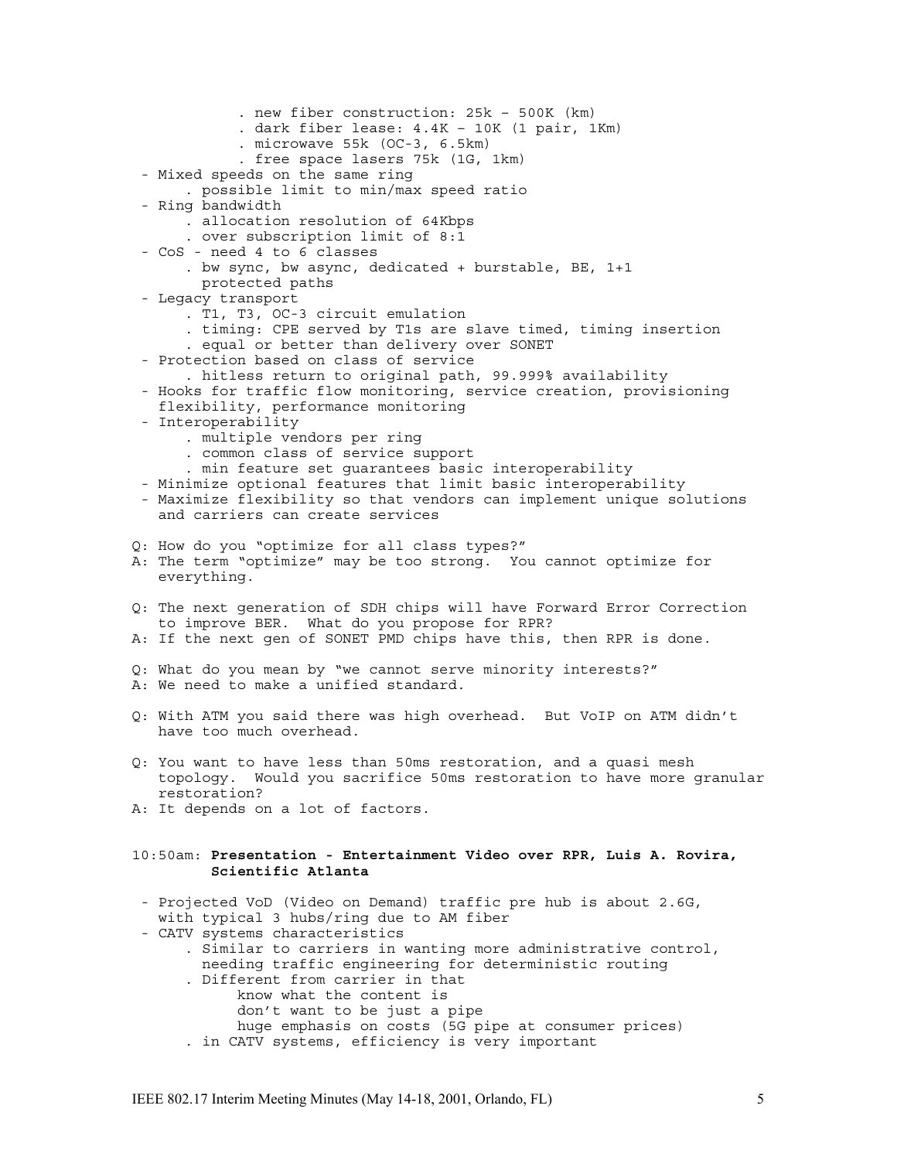. new fiber construction: 25k – 500K (km) . dark fiber lease: 4.4K – 10K (1 pair, 1Km) . microwave 55k (OC-3, 6.5km) . free space lasers 75k (1G, 1km) - Mixed speeds on the same ring . possible limit to min/max speed ratio - Ring bandwidth . allocation resolution of 64Kbps . over subscription limit of 8:1 - CoS - need 4 to 6 classes . bw sync, bw async, dedicated + burstable, BE, 1+1 protected paths - Legacy transport . T1, T3, OC-3 circuit emulation . timing: CPE served by T1s are slave timed, timing insertion . equal or better than delivery over SONET - Protection based on class of service . hitless return to original path, 99.999% availability - Hooks for traffic flow monitoring, service creation, provisioning flexibility, performance monitoring - Interoperability . multiple vendors per ring . common class of service support . min feature set guarantees basic interoperability - Minimize optional features that limit basic interoperability - Maximize flexibility so that vendors can implement unique solutions and carriers can create services Q: How do you "optimize for all class types?" A: The term "optimize" may be too strong. You cannot optimize for everything. Q: The next generation of SDH chips will have Forward Error Correction to improve BER. What do you propose for RPR? A: If the next gen of SONET PMD chips have this, then RPR is done. Q: What do you mean by "we cannot serve minority interests?" A: We need to make a unified standard. Q: With ATM you said there was high overhead. But VoIP on ATM didn't have too much overhead. Q: You want to have less than 50ms restoration, and a quasi mesh topology. Would you sacrifice 50ms restoration to have more granular restoration? A: It depends on a lot of factors. 10:50am: **Presentation - Entertainment Video over RPR, Luis A. Rovira, Scientific Atlanta** - Projected VoD (Video on Demand) traffic pre hub is about 2.6G, with typical 3 hubs/ring due to AM fiber - CATV systems characteristics . Similar to carriers in wanting more administrative control, needing traffic engineering for deterministic routing . Different from carrier in that know what the content is don't want to be just a pipe huge emphasis on costs (5G pipe at consumer prices) . in CATV systems, efficiency is very important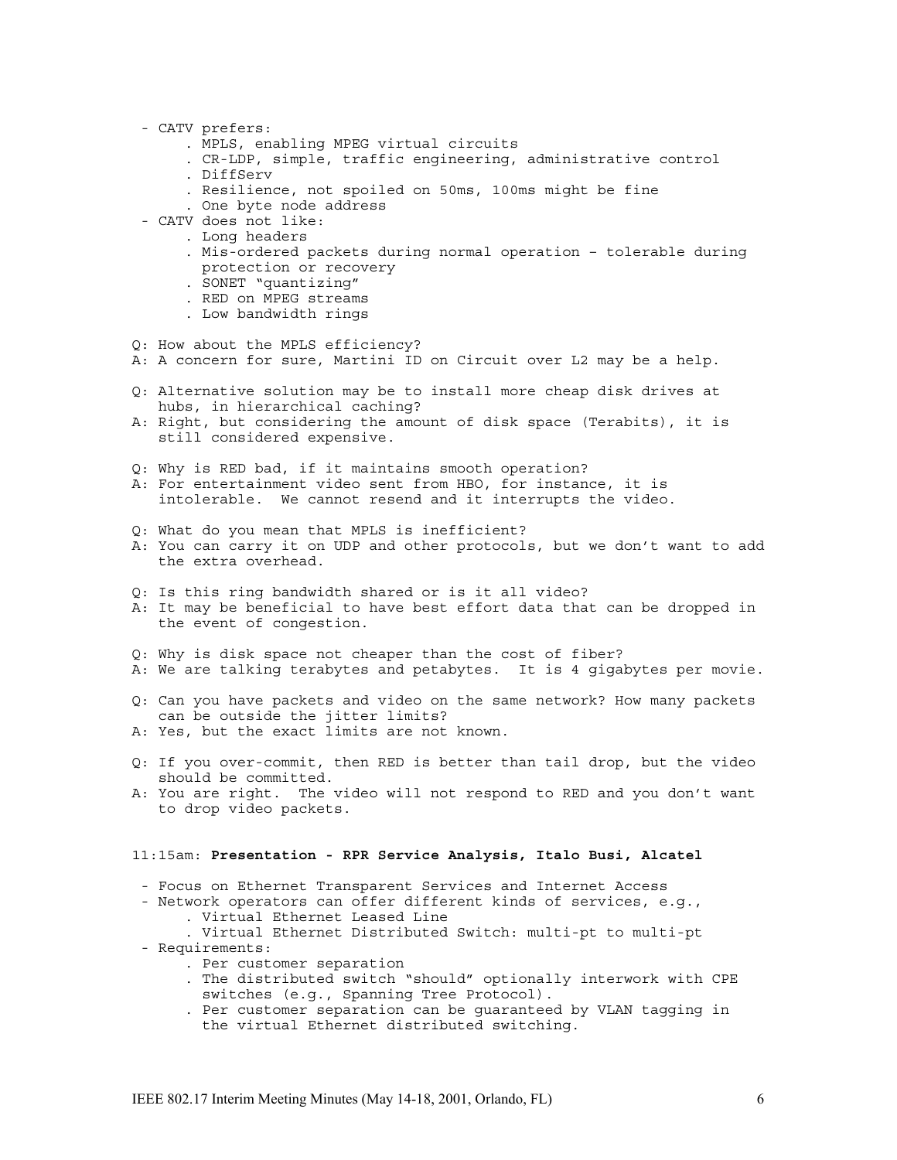- CATV prefers:
	- . MPLS, enabling MPEG virtual circuits
	- . CR-LDP, simple, traffic engineering, administrative control
	- . DiffServ
	- . Resilience, not spoiled on 50ms, 100ms might be fine
	- . One byte node address
- CATV does not like:
	- . Long headers
	- . Mis-ordered packets during normal operation tolerable during protection or recovery
	- . SONET "quantizing"
	- . RED on MPEG streams
	- . Low bandwidth rings
- Q: How about the MPLS efficiency?
- A: A concern for sure, Martini ID on Circuit over L2 may be a help.
- Q: Alternative solution may be to install more cheap disk drives at hubs, in hierarchical caching?
- A: Right, but considering the amount of disk space (Terabits), it is still considered expensive.
- Q: Why is RED bad, if it maintains smooth operation?
- A: For entertainment video sent from HBO, for instance, it is intolerable. We cannot resend and it interrupts the video.
- Q: What do you mean that MPLS is inefficient?
- A: You can carry it on UDP and other protocols, but we don't want to add the extra overhead.
- Q: Is this ring bandwidth shared or is it all video?
- A: It may be beneficial to have best effort data that can be dropped in the event of congestion.
- Q: Why is disk space not cheaper than the cost of fiber?
- A: We are talking terabytes and petabytes. It is 4 gigabytes per movie.
- Q: Can you have packets and video on the same network? How many packets can be outside the jitter limits?
- A: Yes, but the exact limits are not known.
- Q: If you over-commit, then RED is better than tail drop, but the video should be committed.
- A: You are right. The video will not respond to RED and you don't want to drop video packets.

### 11:15am: **Presentation - RPR Service Analysis, Italo Busi, Alcatel**

- Focus on Ethernet Transparent Services and Internet Access
- Network operators can offer different kinds of services, e.g., . Virtual Ethernet Leased Line
	- . Virtual Ethernet Distributed Switch: multi-pt to multi-pt
- Requirements:
	- . Per customer separation
	- . The distributed switch "should" optionally interwork with CPE switches (e.g., Spanning Tree Protocol).
	- . Per customer separation can be guaranteed by VLAN tagging in the virtual Ethernet distributed switching.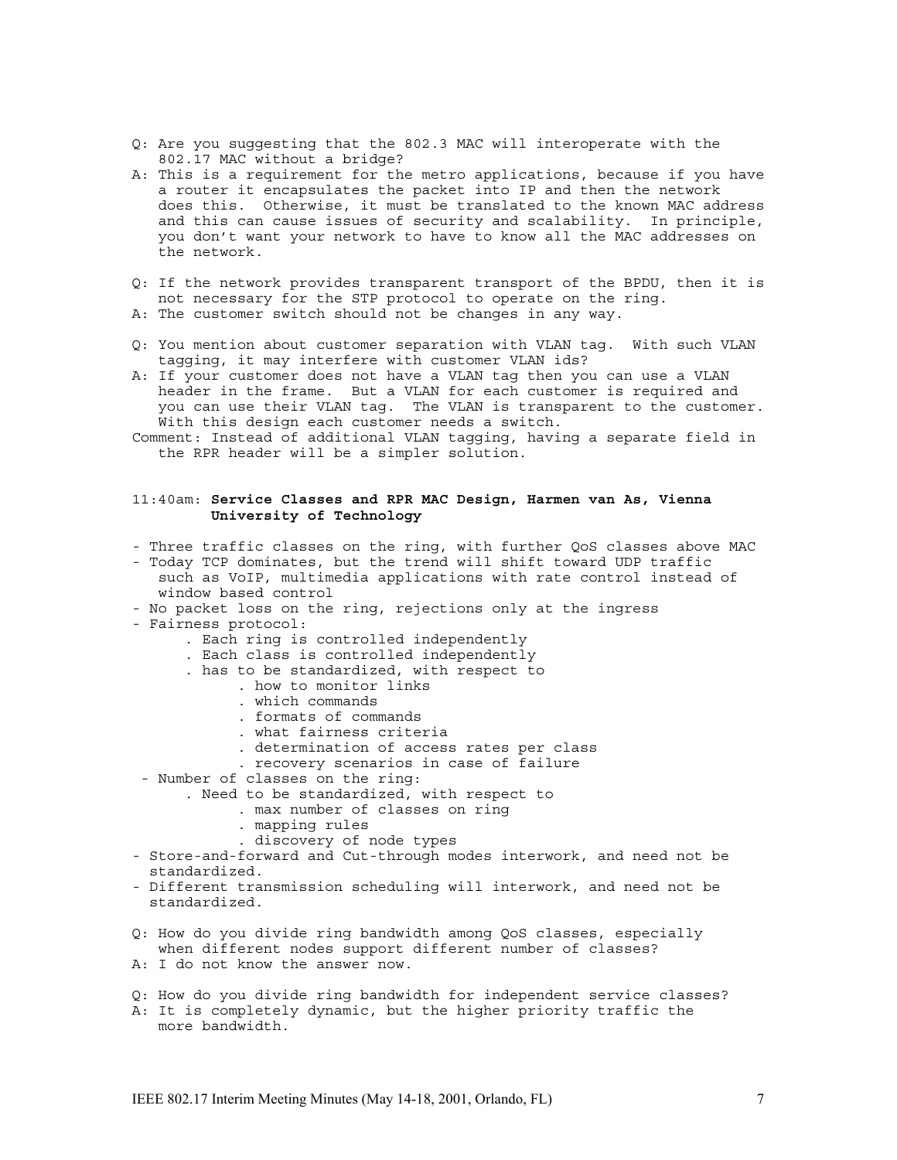- Q: Are you suggesting that the 802.3 MAC will interoperate with the 802.17 MAC without a bridge?
- A: This is a requirement for the metro applications, because if you have a router it encapsulates the packet into IP and then the network does this. Otherwise, it must be translated to the known MAC address and this can cause issues of security and scalability. In principle, you don't want your network to have to know all the MAC addresses on the network.
- Q: If the network provides transparent transport of the BPDU, then it is not necessary for the STP protocol to operate on the ring. A: The customer switch should not be changes in any way.
- Q: You mention about customer separation with VLAN tag. With such VLAN tagging, it may interfere with customer VLAN ids?
- A: If your customer does not have a VLAN tag then you can use a VLAN header in the frame. But a VLAN for each customer is required and you can use their VLAN tag. The VLAN is transparent to the customer. With this design each customer needs a switch.
- Comment: Instead of additional VLAN tagging, having a separate field in the RPR header will be a simpler solution.

# 11:40am: **Service Classes and RPR MAC Design, Harmen van As, Vienna University of Technology**

- Three traffic classes on the ring, with further QoS classes above MAC
- Today TCP dominates, but the trend will shift toward UDP traffic such as VoIP, multimedia applications with rate control instead of window based control
- No packet loss on the ring, rejections only at the ingress
- Fairness protocol:
	- . Each ring is controlled independently
	- . Each class is controlled independently
	- . has to be standardized, with respect to
		- . how to monitor links
		- . which commands
		- . formats of commands
		- . what fairness criteria
		- . determination of access rates per class
		- . recovery scenarios in case of failure
- Number of classes on the ring:
	- . Need to be standardized, with respect to
		- . max number of classes on ring
			- . mapping rules
		- . discovery of node types
- Store-and-forward and Cut-through modes interwork, and need not be standardized.
- Different transmission scheduling will interwork, and need not be standardized.
- Q: How do you divide ring bandwidth among QoS classes, especially when different nodes support different number of classes?
- A: I do not know the answer now.
- Q: How do you divide ring bandwidth for independent service classes? A: It is completely dynamic, but the higher priority traffic the more bandwidth.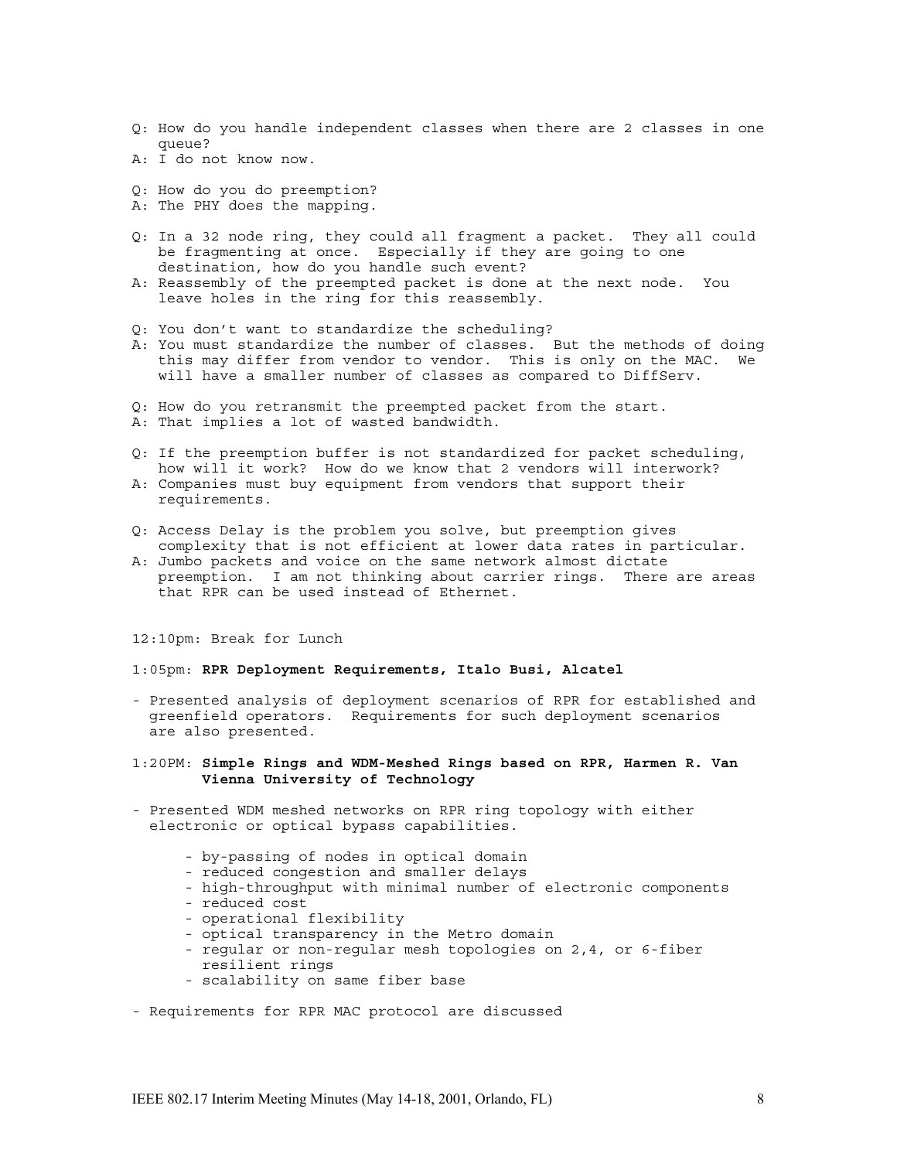- Q: How do you handle independent classes when there are 2 classes in one queue?
- A: I do not know now.
- Q: How do you do preemption?
- A: The PHY does the mapping.
- Q: In a 32 node ring, they could all fragment a packet. They all could be fragmenting at once. Especially if they are going to one destination, how do you handle such event?
- A: Reassembly of the preempted packet is done at the next node. You leave holes in the ring for this reassembly.
- Q: You don't want to standardize the scheduling?
- A: You must standardize the number of classes. But the methods of doing this may differ from vendor to vendor. This is only on the MAC. We will have a smaller number of classes as compared to DiffServ.
- Q: How do you retransmit the preempted packet from the start.
- A: That implies a lot of wasted bandwidth.
- Q: If the preemption buffer is not standardized for packet scheduling, how will it work? How do we know that 2 vendors will interwork? A: Companies must buy equipment from vendors that support their requirements.
- Q: Access Delay is the problem you solve, but preemption gives complexity that is not efficient at lower data rates in particular.
- A: Jumbo packets and voice on the same network almost dictate preemption. I am not thinking about carrier rings. There are areas that RPR can be used instead of Ethernet.

12:10pm: Break for Lunch

# 1:05pm: **RPR Deployment Requirements, Italo Busi, Alcatel**

- Presented analysis of deployment scenarios of RPR for established and greenfield operators. Requirements for such deployment scenarios are also presented.
- 1:20PM: **Simple Rings and WDM-Meshed Rings based on RPR, Harmen R. Van Vienna University of Technology**
- Presented WDM meshed networks on RPR ring topology with either electronic or optical bypass capabilities.
	- by-passing of nodes in optical domain
	- reduced congestion and smaller delays
	- high-throughput with minimal number of electronic components
	- reduced cost
	- operational flexibility
	- optical transparency in the Metro domain
	- regular or non-regular mesh topologies on 2,4, or 6-fiber resilient rings
	- scalability on same fiber base

- Requirements for RPR MAC protocol are discussed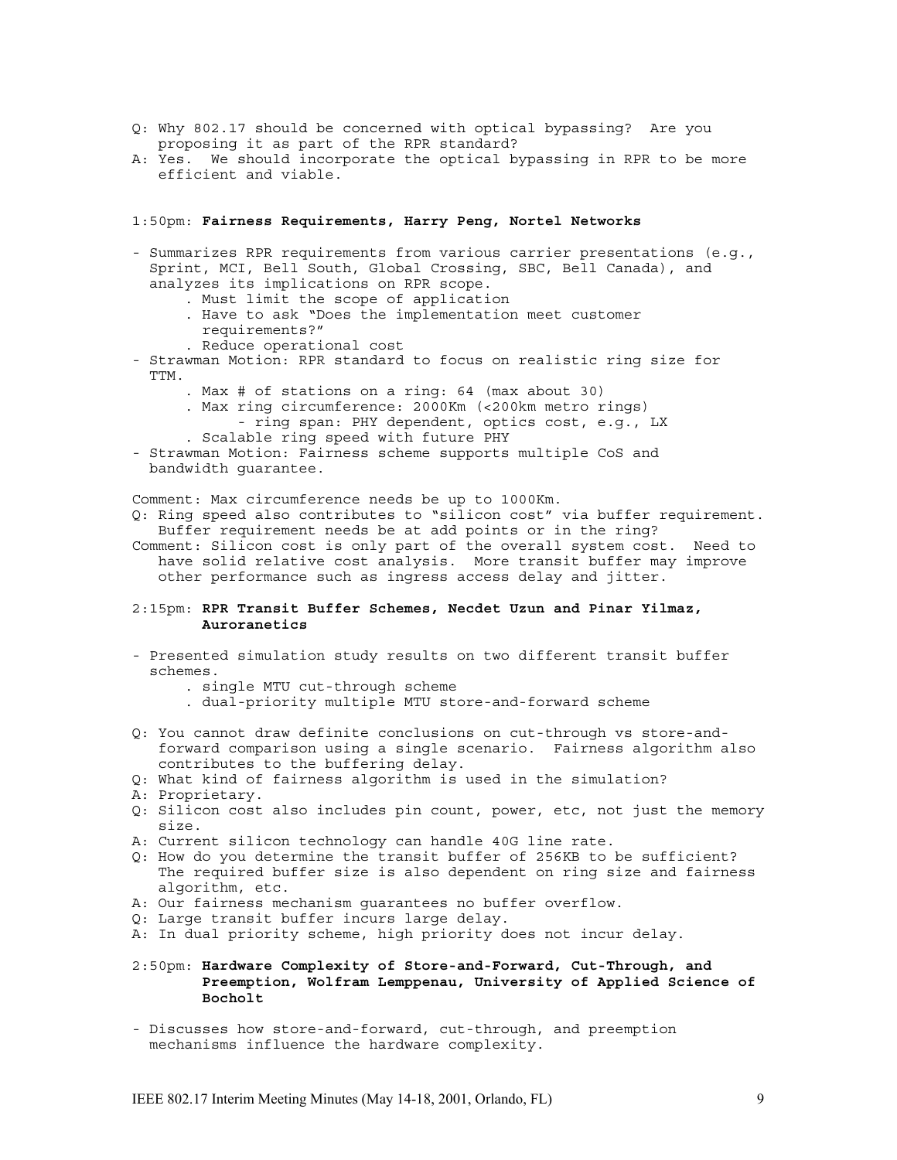- Q: Why 802.17 should be concerned with optical bypassing? Are you proposing it as part of the RPR standard?
- A: Yes. We should incorporate the optical bypassing in RPR to be more efficient and viable.

1:50pm: **Fairness Requirements, Harry Peng, Nortel Networks**

- Summarizes RPR requirements from various carrier presentations (e.g., Sprint, MCI, Bell South, Global Crossing, SBC, Bell Canada), and analyzes its implications on RPR scope.
	- . Must limit the scope of application
	- . Have to ask "Does the implementation meet customer requirements?"
	- . Reduce operational cost
- Strawman Motion: RPR standard to focus on realistic ring size for TTM.
	- . Max # of stations on a ring: 64 (max about 30)
	- . Max ring circumference: 2000Km (<200km metro rings) - ring span: PHY dependent, optics cost, e.g., LX
	- . Scalable ring speed with future PHY
- Strawman Motion: Fairness scheme supports multiple CoS and bandwidth guarantee.

Comment: Max circumference needs be up to 1000Km.

Q: Ring speed also contributes to "silicon cost" via buffer requirement. Buffer requirement needs be at add points or in the ring?

Comment: Silicon cost is only part of the overall system cost. Need to have solid relative cost analysis. More transit buffer may improve other performance such as ingress access delay and jitter.

## 2:15pm: **RPR Transit Buffer Schemes, Necdet Uzun and Pinar Yilmaz, Auroranetics**

- Presented simulation study results on two different transit buffer schemes.
	- . single MTU cut-through scheme
	- . dual-priority multiple MTU store-and-forward scheme
- Q: You cannot draw definite conclusions on cut-through vs store-andforward comparison using a single scenario. Fairness algorithm also contributes to the buffering delay.
- Q: What kind of fairness algorithm is used in the simulation?
- A: Proprietary.
- Q: Silicon cost also includes pin count, power, etc, not just the memory size.
- A: Current silicon technology can handle 40G line rate.
- Q: How do you determine the transit buffer of 256KB to be sufficient? The required buffer size is also dependent on ring size and fairness algorithm, etc.
- A: Our fairness mechanism guarantees no buffer overflow.
- Q: Large transit buffer incurs large delay.
- A: In dual priority scheme, high priority does not incur delay.

### 2:50pm: **Hardware Complexity of Store-and-Forward, Cut-Through, and Preemption, Wolfram Lemppenau, University of Applied Science of Bocholt**

- Discusses how store-and-forward, cut-through, and preemption mechanisms influence the hardware complexity.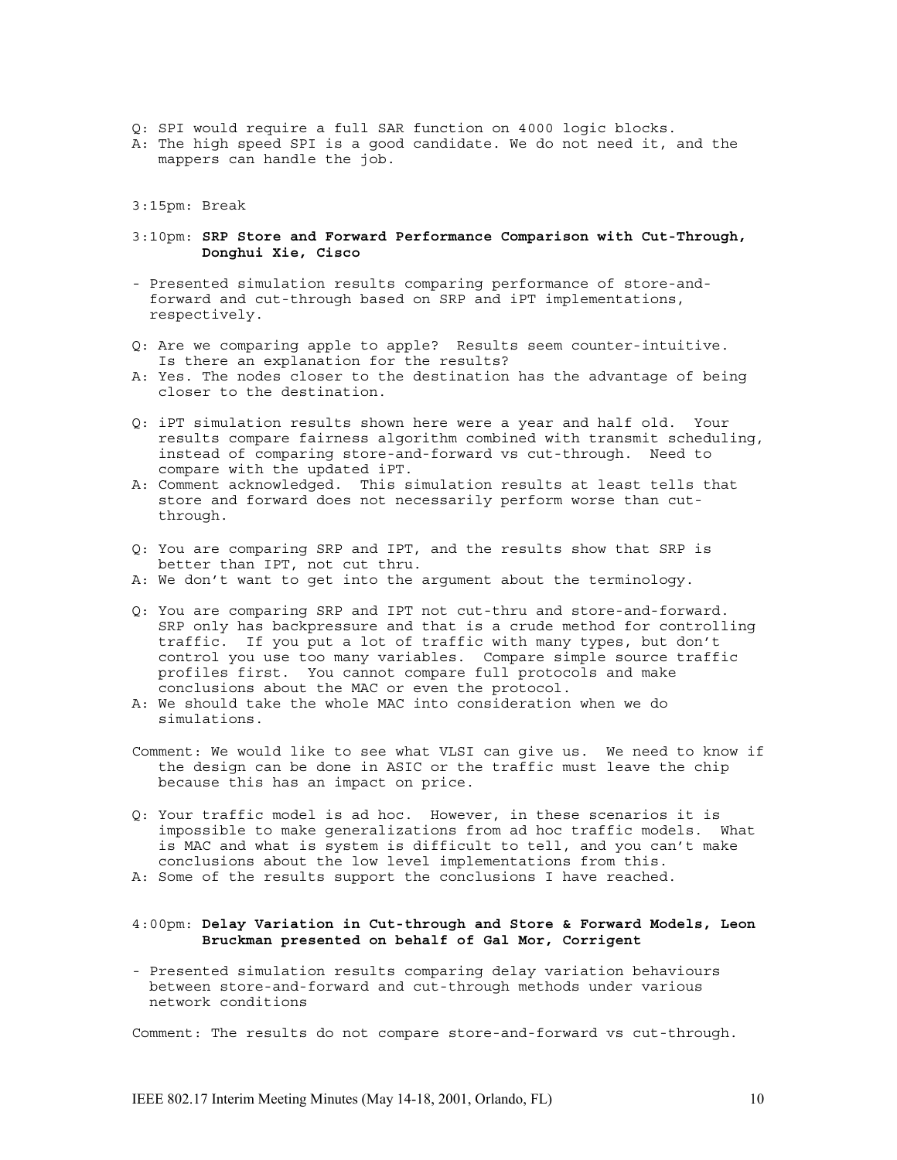- Q: SPI would require a full SAR function on 4000 logic blocks.
- A: The high speed SPI is a good candidate. We do not need it, and the mappers can handle the job.
- 3:15pm: Break
- 3:10pm: **SRP Store and Forward Performance Comparison with Cut-Through, Donghui Xie, Cisco**
- Presented simulation results comparing performance of store-andforward and cut-through based on SRP and iPT implementations, respectively.
- Q: Are we comparing apple to apple? Results seem counter-intuitive. Is there an explanation for the results?
- A: Yes. The nodes closer to the destination has the advantage of being closer to the destination.
- Q: iPT simulation results shown here were a year and half old. Your results compare fairness algorithm combined with transmit scheduling, instead of comparing store-and-forward vs cut-through. Need to compare with the updated iPT.
- A: Comment acknowledged. This simulation results at least tells that store and forward does not necessarily perform worse than cutthrough.
- Q: You are comparing SRP and IPT, and the results show that SRP is better than IPT, not cut thru.
- A: We don't want to get into the argument about the terminology.
- Q: You are comparing SRP and IPT not cut-thru and store-and-forward. SRP only has backpressure and that is a crude method for controlling traffic. If you put a lot of traffic with many types, but don't control you use too many variables. Compare simple source traffic profiles first. You cannot compare full protocols and make conclusions about the MAC or even the protocol.
- A: We should take the whole MAC into consideration when we do simulations.
- Comment: We would like to see what VLSI can give us. We need to know if the design can be done in ASIC or the traffic must leave the chip because this has an impact on price.
- Q: Your traffic model is ad hoc. However, in these scenarios it is impossible to make generalizations from ad hoc traffic models. What is MAC and what is system is difficult to tell, and you can't make conclusions about the low level implementations from this.
- A: Some of the results support the conclusions I have reached.

### 4:00pm: **Delay Variation in Cut-through and Store & Forward Models, Leon Bruckman presented on behalf of Gal Mor, Corrigent**

- Presented simulation results comparing delay variation behaviours between store-and-forward and cut-through methods under various network conditions

Comment: The results do not compare store-and-forward vs cut-through.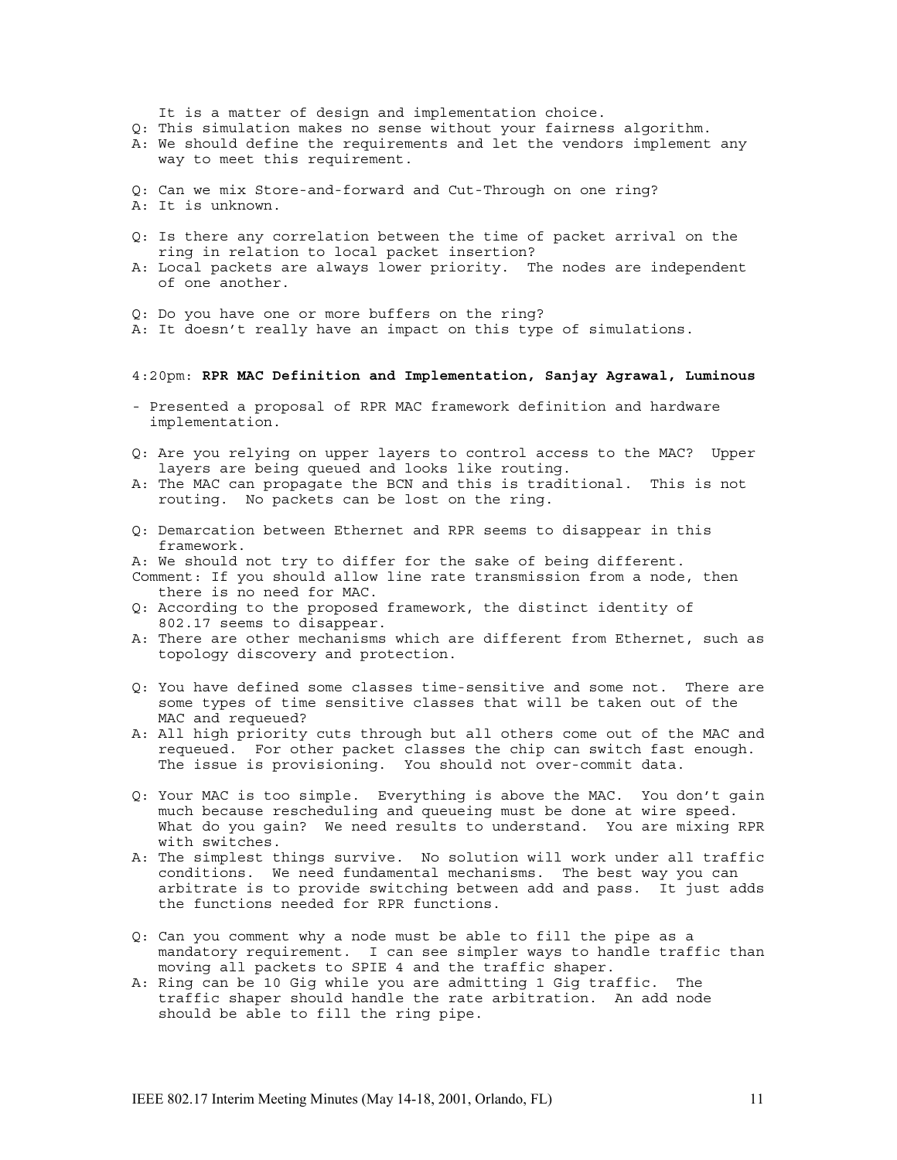It is a matter of design and implementation choice.

- Q: This simulation makes no sense without your fairness algorithm.
- A: We should define the requirements and let the vendors implement any way to meet this requirement.
- Q: Can we mix Store-and-forward and Cut-Through on one ring? A: It is unknown.
- Q: Is there any correlation between the time of packet arrival on the ring in relation to local packet insertion?
- A: Local packets are always lower priority. The nodes are independent of one another.
- Q: Do you have one or more buffers on the ring?
- A: It doesn't really have an impact on this type of simulations.

### 4:20pm: **RPR MAC Definition and Implementation, Sanjay Agrawal, Luminous**

- Presented a proposal of RPR MAC framework definition and hardware implementation.
- Q: Are you relying on upper layers to control access to the MAC? Upper layers are being queued and looks like routing.
- A: The MAC can propagate the BCN and this is traditional. This is not routing. No packets can be lost on the ring.
- Q: Demarcation between Ethernet and RPR seems to disappear in this framework.
- A: We should not try to differ for the sake of being different.
- Comment: If you should allow line rate transmission from a node, then there is no need for MAC.
- Q: According to the proposed framework, the distinct identity of 802.17 seems to disappear.
- A: There are other mechanisms which are different from Ethernet, such as topology discovery and protection.
- Q: You have defined some classes time-sensitive and some not. There are some types of time sensitive classes that will be taken out of the MAC and requeued?
- A: All high priority cuts through but all others come out of the MAC and requeued. For other packet classes the chip can switch fast enough. The issue is provisioning. You should not over-commit data.
- Q: Your MAC is too simple. Everything is above the MAC. You don't gain much because rescheduling and queueing must be done at wire speed. What do you gain? We need results to understand. You are mixing RPR with switches.
- A: The simplest things survive. No solution will work under all traffic conditions. We need fundamental mechanisms. The best way you can arbitrate is to provide switching between add and pass. It just adds the functions needed for RPR functions.
- Q: Can you comment why a node must be able to fill the pipe as a mandatory requirement. I can see simpler ways to handle traffic than moving all packets to SPIE 4 and the traffic shaper.
- A: Ring can be 10 Gig while you are admitting 1 Gig traffic. The traffic shaper should handle the rate arbitration. An add node should be able to fill the ring pipe.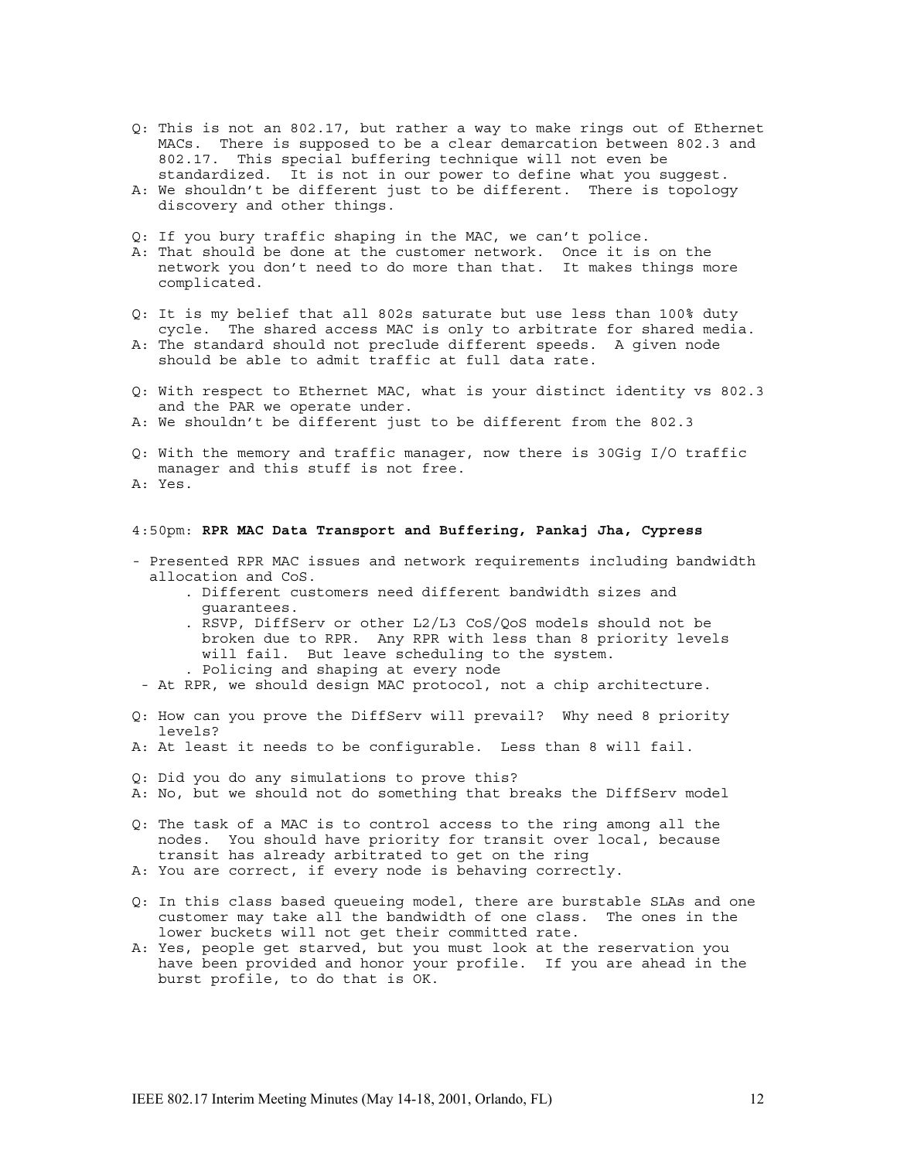- Q: This is not an 802.17, but rather a way to make rings out of Ethernet MACs. There is supposed to be a clear demarcation between 802.3 and 802.17. This special buffering technique will not even be standardized. It is not in our power to define what you suggest.
- A: We shouldn't be different just to be different. There is topology discovery and other things.
- Q: If you bury traffic shaping in the MAC, we can't police.
- A: That should be done at the customer network. Once it is on the network you don't need to do more than that. It makes things more complicated.
- Q: It is my belief that all 802s saturate but use less than 100% duty cycle. The shared access MAC is only to arbitrate for shared media.
- A: The standard should not preclude different speeds. A given node should be able to admit traffic at full data rate.
- Q: With respect to Ethernet MAC, what is your distinct identity vs 802.3 and the PAR we operate under.
- A: We shouldn't be different just to be different from the 802.3
- Q: With the memory and traffic manager, now there is 30Gig I/O traffic manager and this stuff is not free. A: Yes.
- 

# 4:50pm: **RPR MAC Data Transport and Buffering, Pankaj Jha, Cypress**

- Presented RPR MAC issues and network requirements including bandwidth allocation and CoS.
	- . Different customers need different bandwidth sizes and guarantees.
	- . RSVP, DiffServ or other L2/L3 CoS/QoS models should not be broken due to RPR. Any RPR with less than 8 priority levels will fail. But leave scheduling to the system. . Policing and shaping at every node
- At RPR, we should design MAC protocol, not a chip architecture.
- Q: How can you prove the DiffServ will prevail? Why need 8 priority levels?
- A: At least it needs to be configurable. Less than 8 will fail.
- Q: Did you do any simulations to prove this?
- A: No, but we should not do something that breaks the DiffServ model
- Q: The task of a MAC is to control access to the ring among all the nodes. You should have priority for transit over local, because transit has already arbitrated to get on the ring A: You are correct, if every node is behaving correctly.
- 
- Q: In this class based queueing model, there are burstable SLAs and one customer may take all the bandwidth of one class. The ones in the lower buckets will not get their committed rate.
- A: Yes, people get starved, but you must look at the reservation you have been provided and honor your profile. If you are ahead in the burst profile, to do that is OK.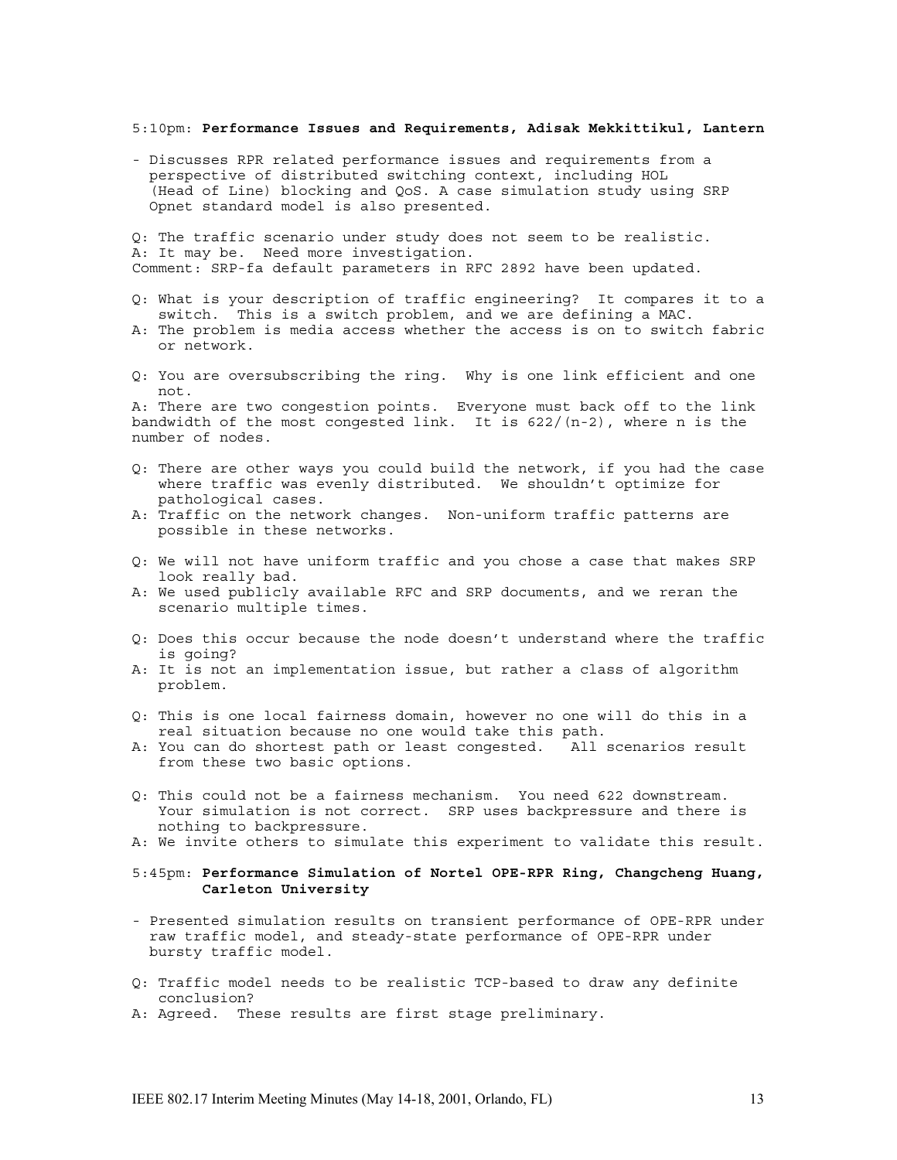5:10pm: **Performance Issues and Requirements, Adisak Mekkittikul, Lantern**

- Discusses RPR related performance issues and requirements from a perspective of distributed switching context, including HOL (Head of Line) blocking and QoS. A case simulation study using SRP Opnet standard model is also presented.

Q: The traffic scenario under study does not seem to be realistic. A: It may be. Need more investigation. Comment: SRP-fa default parameters in RFC 2892 have been updated.

- Q: What is your description of traffic engineering? It compares it to a switch. This is a switch problem, and we are defining a MAC.
- A: The problem is media access whether the access is on to switch fabric or network.
- Q: You are oversubscribing the ring. Why is one link efficient and one not.

A: There are two congestion points. Everyone must back off to the link bandwidth of the most congested link. It is 622/(n-2), where n is the number of nodes.

- Q: There are other ways you could build the network, if you had the case where traffic was evenly distributed. We shouldn't optimize for pathological cases.
- A: Traffic on the network changes. Non-uniform traffic patterns are possible in these networks.
- Q: We will not have uniform traffic and you chose a case that makes SRP look really bad.
- A: We used publicly available RFC and SRP documents, and we reran the scenario multiple times.
- Q: Does this occur because the node doesn't understand where the traffic is going?
- A: It is not an implementation issue, but rather a class of algorithm problem.
- Q: This is one local fairness domain, however no one will do this in a real situation because no one would take this path.
- A: You can do shortest path or least congested. All scenarios result from these two basic options.
- Q: This could not be a fairness mechanism. You need 622 downstream. Your simulation is not correct. SRP uses backpressure and there is nothing to backpressure.
- A: We invite others to simulate this experiment to validate this result.

### 5:45pm: **Performance Simulation of Nortel OPE-RPR Ring, Changcheng Huang, Carleton University**

- Presented simulation results on transient performance of OPE-RPR under raw traffic model, and steady-state performance of OPE-RPR under bursty traffic model.
- Q: Traffic model needs to be realistic TCP-based to draw any definite conclusion?
- A: Agreed. These results are first stage preliminary.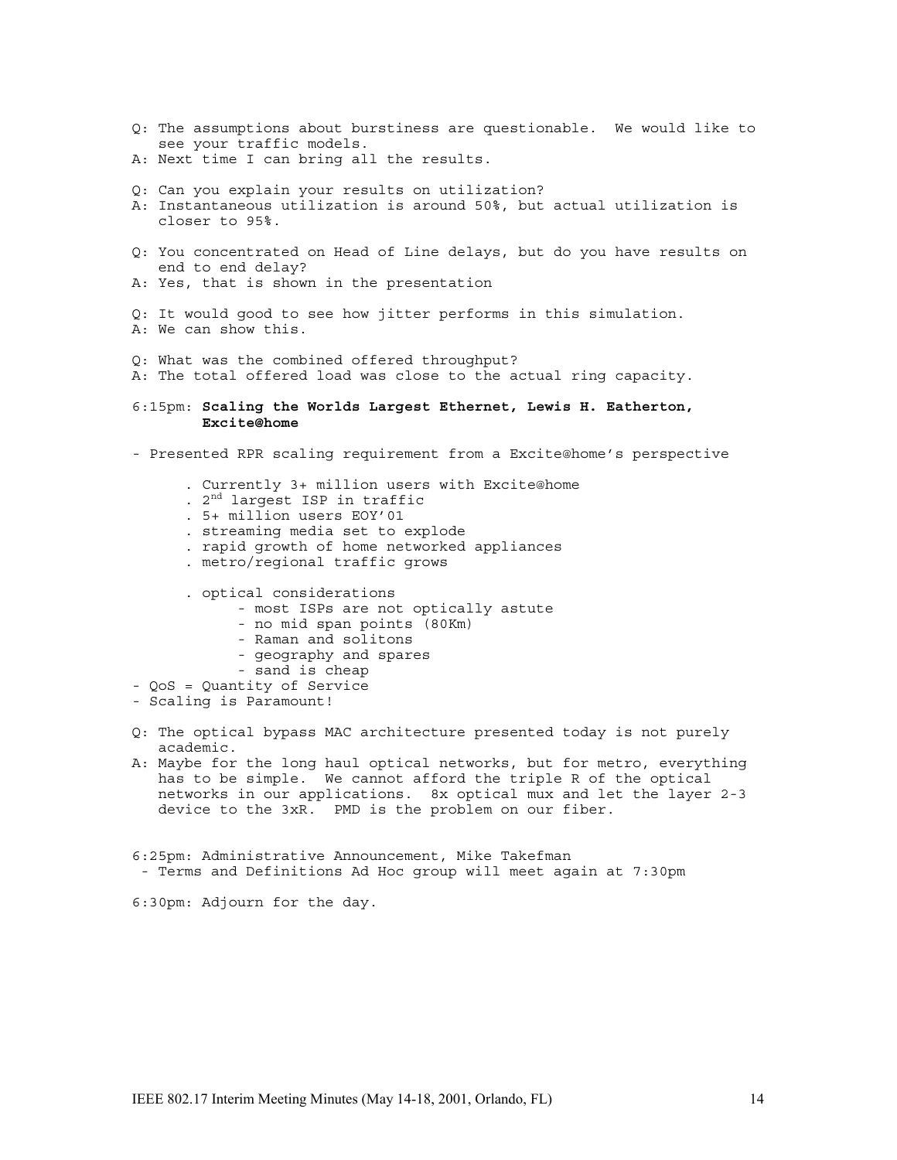- Q: The assumptions about burstiness are questionable. We would like to see your traffic models.
- A: Next time I can bring all the results.
- Q: Can you explain your results on utilization?
- A: Instantaneous utilization is around 50%, but actual utilization is closer to 95%.
- Q: You concentrated on Head of Line delays, but do you have results on end to end delay?
- A: Yes, that is shown in the presentation
- Q: It would good to see how jitter performs in this simulation.
- A: We can show this.
- Q: What was the combined offered throughput?
- A: The total offered load was close to the actual ring capacity.
- 6:15pm: **Scaling the Worlds Largest Ethernet, Lewis H. Eatherton, Excite@home**
- Presented RPR scaling requirement from a Excite@home's perspective
	- . Currently 3+ million users with Excite@home . 2nd largest ISP in traffic . 5+ million users EOY'01 . streaming media set to explode . rapid growth of home networked appliances . metro/regional traffic grows
	- . optical considerations
		- most ISPs are not optically astute
		- no mid span points (80Km)
		- Raman and solitons
		- geography and spares
		- sand is cheap
- QoS = Quantity of Service
- Scaling is Paramount!
- Q: The optical bypass MAC architecture presented today is not purely academic.
- A: Maybe for the long haul optical networks, but for metro, everything has to be simple. We cannot afford the triple R of the optical networks in our applications. 8x optical mux and let the layer 2-3 device to the 3xR. PMD is the problem on our fiber.
- 6:25pm: Administrative Announcement, Mike Takefman - Terms and Definitions Ad Hoc group will meet again at 7:30pm

6:30pm: Adjourn for the day.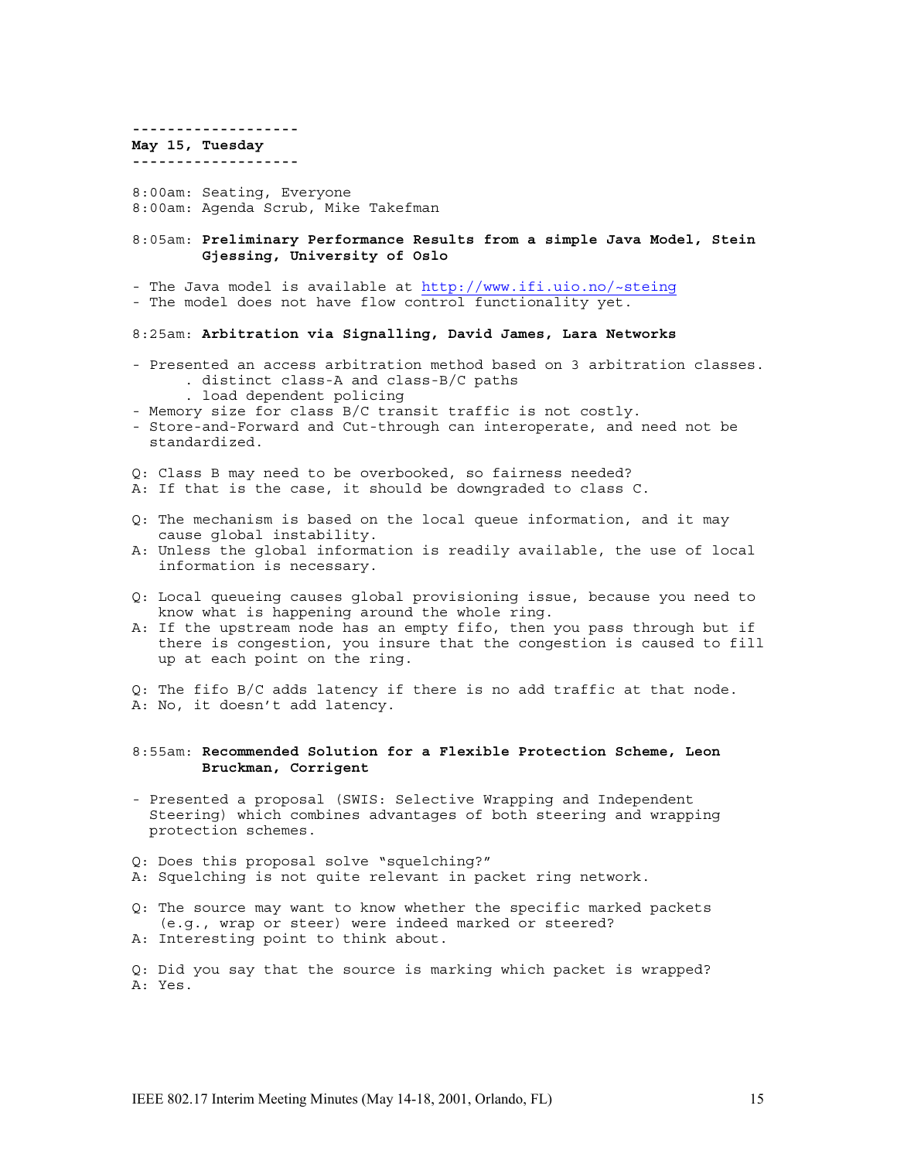**------------------- May 15, Tuesday -------------------** 8:00am: Seating, Everyone

8:00am: Agenda Scrub, Mike Takefman

8:05am: **Preliminary Performance Results from a simple Java Model, Stein Gjessing, University of Oslo**

- The Java model is available at http://www.ifi.uio.no/~steing

- The model does not have flow control functionality yet.

### 8:25am: **Arbitration via Signalling, David James, Lara Networks**

- Presented an access arbitration method based on 3 arbitration classes. . distinct class-A and class-B/C paths . load dependent policing
	-
- Memory size for class B/C transit traffic is not costly.
- Store-and-Forward and Cut-through can interoperate, and need not be standardized.
- Q: Class B may need to be overbooked, so fairness needed?
- A: If that is the case, it should be downgraded to class C.
- Q: The mechanism is based on the local queue information, and it may cause global instability.
- A: Unless the global information is readily available, the use of local information is necessary.
- Q: Local queueing causes global provisioning issue, because you need to know what is happening around the whole ring.
- A: If the upstream node has an empty fifo, then you pass through but if there is congestion, you insure that the congestion is caused to fill up at each point on the ring.

Q: The fifo B/C adds latency if there is no add traffic at that node. A: No, it doesn't add latency.

8:55am: **Recommended Solution for a Flexible Protection Scheme, Leon Bruckman, Corrigent**

- Presented a proposal (SWIS: Selective Wrapping and Independent Steering) which combines advantages of both steering and wrapping protection schemes.
- Q: Does this proposal solve "squelching?"
- A: Squelching is not quite relevant in packet ring network.
- Q: The source may want to know whether the specific marked packets (e.g., wrap or steer) were indeed marked or steered? A: Interesting point to think about.

Q: Did you say that the source is marking which packet is wrapped? A: Yes.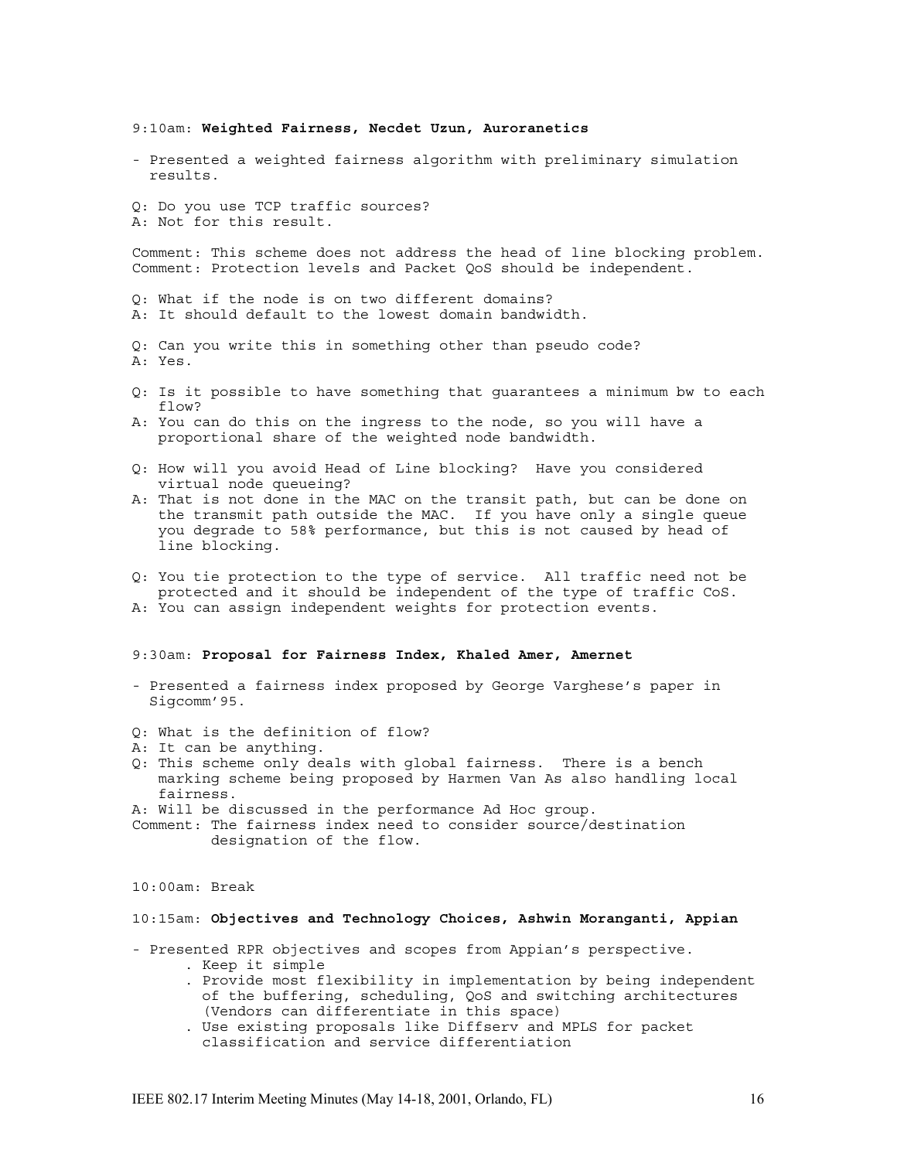9:10am: **Weighted Fairness, Necdet Uzun, Auroranetics**

- Presented a weighted fairness algorithm with preliminary simulation results.

Q: Do you use TCP traffic sources? A: Not for this result.

Comment: This scheme does not address the head of line blocking problem. Comment: Protection levels and Packet QoS should be independent.

Q: What if the node is on two different domains? A: It should default to the lowest domain bandwidth.

- Q: Can you write this in something other than pseudo code? A: Yes.
- Q: Is it possible to have something that guarantees a minimum bw to each flow?
- A: You can do this on the ingress to the node, so you will have a proportional share of the weighted node bandwidth.
- Q: How will you avoid Head of Line blocking? Have you considered virtual node queueing?
- A: That is not done in the MAC on the transit path, but can be done on the transmit path outside the MAC. If you have only a single queue you degrade to 58% performance, but this is not caused by head of line blocking.
- Q: You tie protection to the type of service. All traffic need not be protected and it should be independent of the type of traffic CoS. A: You can assign independent weights for protection events.

#### 9:30am: **Proposal for Fairness Index, Khaled Amer, Amernet**

- Presented a fairness index proposed by George Varghese's paper in Sigcomm'95.
- Q: What is the definition of flow?
- A: It can be anything.
- Q: This scheme only deals with global fairness. There is a bench marking scheme being proposed by Harmen Van As also handling local fairness.

A: Will be discussed in the performance Ad Hoc group.

Comment: The fairness index need to consider source/destination designation of the flow.

10:00am: Break

# 10:15am: **Objectives and Technology Choices, Ashwin Moranganti, Appian**

- Presented RPR objectives and scopes from Appian's perspective. . Keep it simple
	- . Provide most flexibility in implementation by being independent of the buffering, scheduling, QoS and switching architectures (Vendors can differentiate in this space)
	- . Use existing proposals like Diffserv and MPLS for packet classification and service differentiation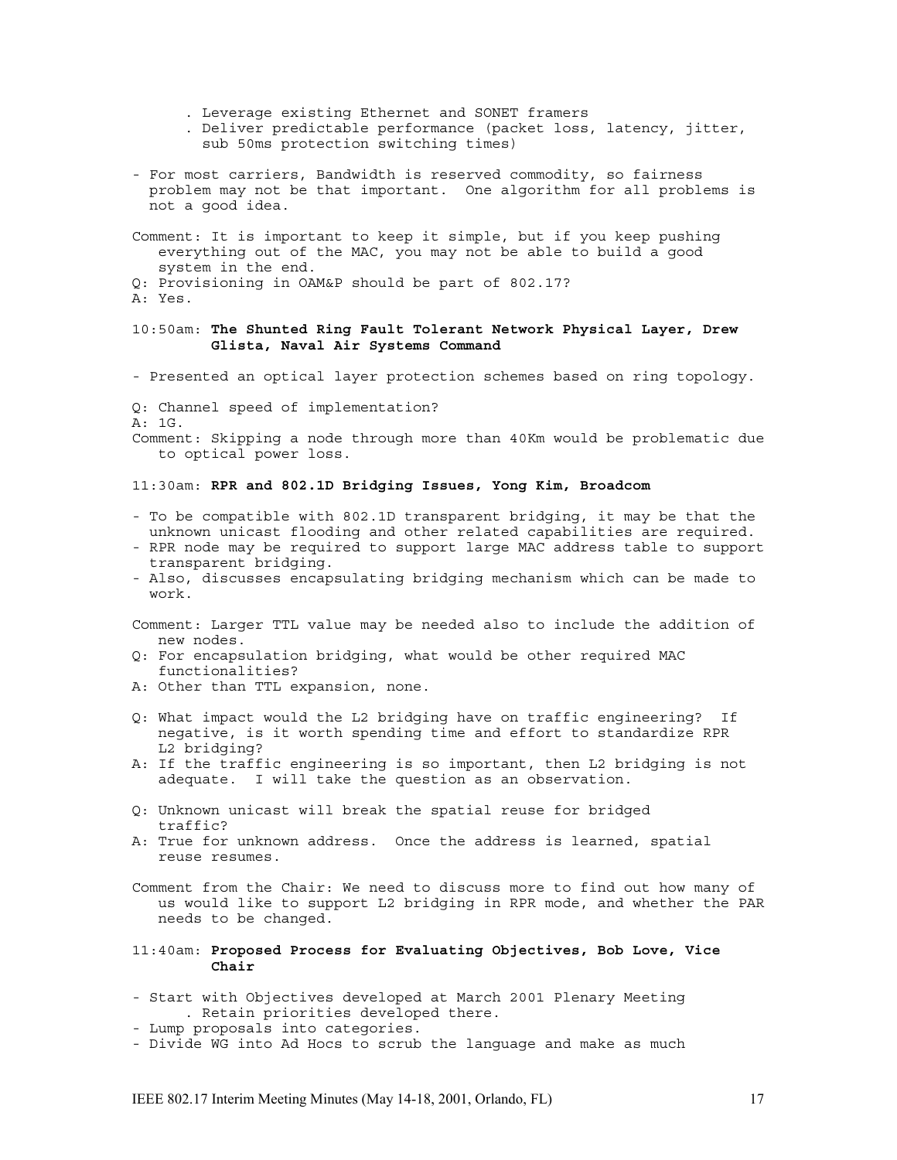- . Leverage existing Ethernet and SONET framers
- . Deliver predictable performance (packet loss, latency, jitter, sub 50ms protection switching times)
- For most carriers, Bandwidth is reserved commodity, so fairness problem may not be that important. One algorithm for all problems is not a good idea.
- Comment: It is important to keep it simple, but if you keep pushing everything out of the MAC, you may not be able to build a good system in the end.
- Q: Provisioning in OAM&P should be part of 802.17?

### 10:50am: **The Shunted Ring Fault Tolerant Network Physical Layer, Drew Glista, Naval Air Systems Command**

- Presented an optical layer protection schemes based on ring topology.
- Q: Channel speed of implementation?
- A: 1G.

Comment: Skipping a node through more than 40Km would be problematic due to optical power loss.

# 11:30am: **RPR and 802.1D Bridging Issues, Yong Kim, Broadcom**

- To be compatible with 802.1D transparent bridging, it may be that the unknown unicast flooding and other related capabilities are required.
- RPR node may be required to support large MAC address table to support transparent bridging.
- Also, discusses encapsulating bridging mechanism which can be made to work.
- Comment: Larger TTL value may be needed also to include the addition of new nodes.
- Q: For encapsulation bridging, what would be other required MAC functionalities?
- A: Other than TTL expansion, none.
- Q: What impact would the L2 bridging have on traffic engineering? If negative, is it worth spending time and effort to standardize RPR L2 bridging?
- A: If the traffic engineering is so important, then L2 bridging is not adequate. I will take the question as an observation.
- Q: Unknown unicast will break the spatial reuse for bridged traffic?
- A: True for unknown address. Once the address is learned, spatial reuse resumes.
- Comment from the Chair: We need to discuss more to find out how many of us would like to support L2 bridging in RPR mode, and whether the PAR needs to be changed.
- 11:40am: **Proposed Process for Evaluating Objectives, Bob Love, Vice Chair**
- Start with Objectives developed at March 2001 Plenary Meeting . Retain priorities developed there.
- Lump proposals into categories.
- Divide WG into Ad Hocs to scrub the language and make as much

A: Yes.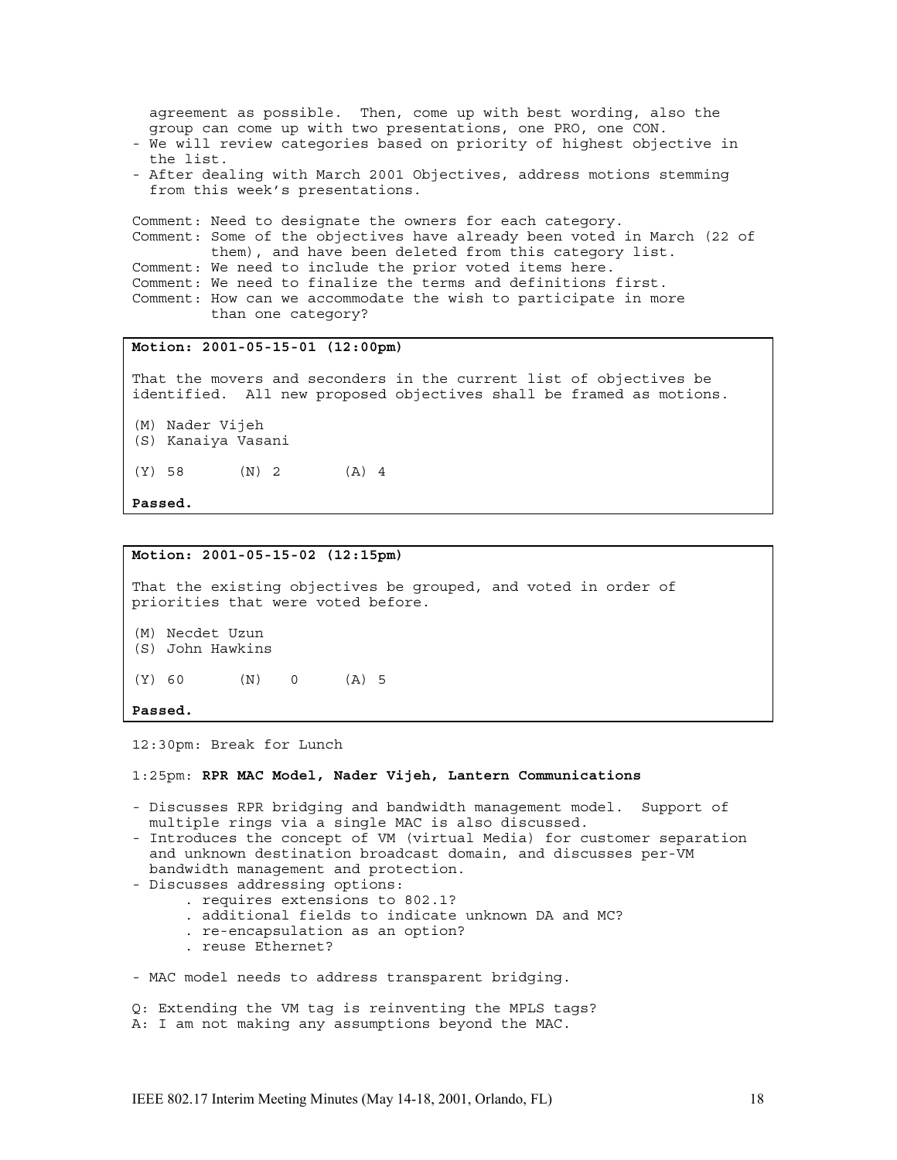agreement as possible. Then, come up with best wording, also the group can come up with two presentations, one PRO, one CON.

- We will review categories based on priority of highest objective in the list.
- After dealing with March 2001 Objectives, address motions stemming from this week's presentations.

Comment: Need to designate the owners for each category. Comment: Some of the objectives have already been voted in March (22 of them), and have been deleted from this category list. Comment: We need to include the prior voted items here. Comment: We need to finalize the terms and definitions first. Comment: How can we accommodate the wish to participate in more than one category?

# **Motion: 2001-05-15-01 (12:00pm)**

That the movers and seconders in the current list of objectives be identified. All new proposed objectives shall be framed as motions.

- (M) Nader Vijeh
- (S) Kanaiya Vasani
- $(Y)$  58  $(N)$  2  $(A)$  4

**Passed.**

### **Motion: 2001-05-15-02 (12:15pm)**

That the existing objectives be grouped, and voted in order of priorities that were voted before.

- (M) Necdet Uzun
- (S) John Hawkins
- (Y) 60 (N) 0 (A) 5

#### **Passed.**

12:30pm: Break for Lunch

1:25pm: **RPR MAC Model, Nader Vijeh, Lantern Communications**

- Discusses RPR bridging and bandwidth management model. Support of multiple rings via a single MAC is also discussed.
- Introduces the concept of VM (virtual Media) for customer separation and unknown destination broadcast domain, and discusses per-VM bandwidth management and protection.
- Discusses addressing options:
	- . requires extensions to 802.1?
		- . additional fields to indicate unknown DA and MC?
		- . re-encapsulation as an option?
		- . reuse Ethernet?
- MAC model needs to address transparent bridging.

Q: Extending the VM tag is reinventing the MPLS tags? A: I am not making any assumptions beyond the MAC.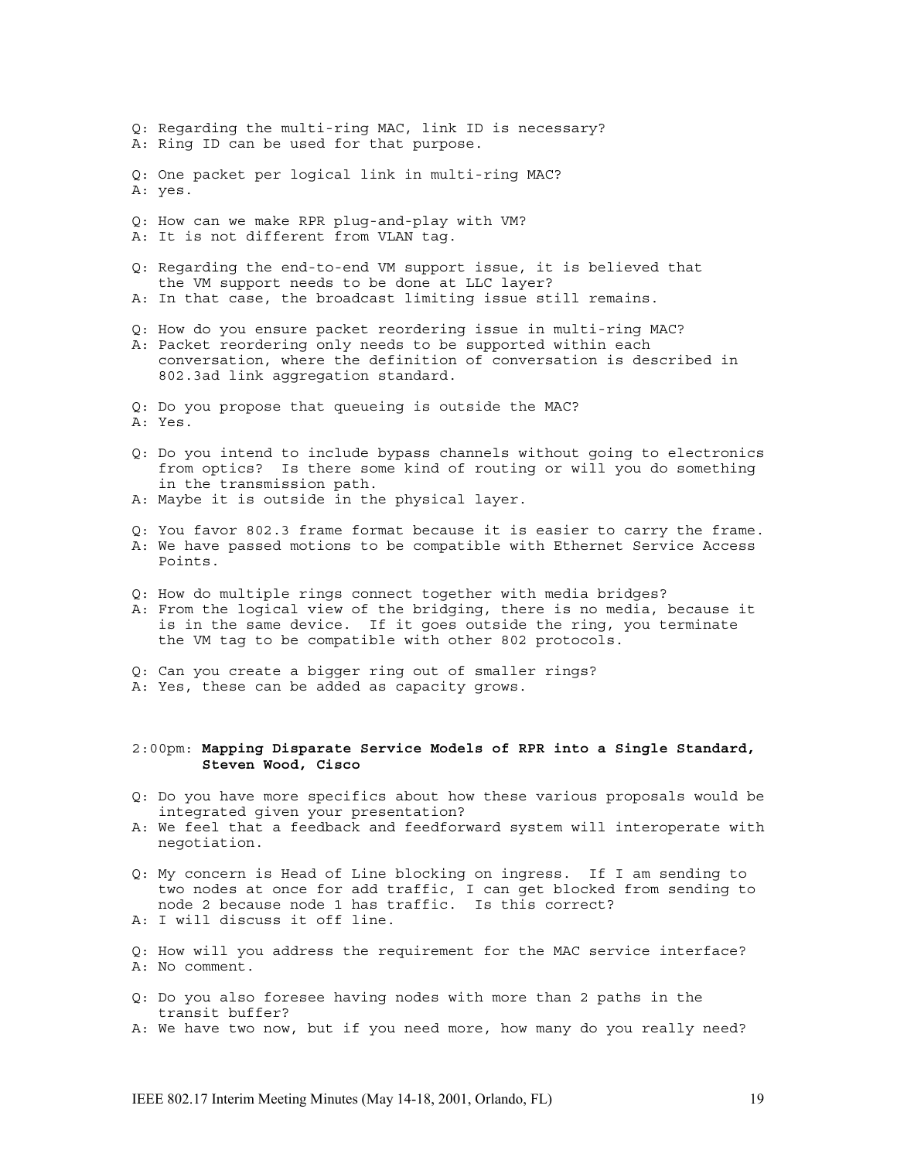Q: Regarding the multi-ring MAC, link ID is necessary? A: Ring ID can be used for that purpose. Q: One packet per logical link in multi-ring MAC? A: yes. Q: How can we make RPR plug-and-play with VM? A: It is not different from VLAN tag. Q: Regarding the end-to-end VM support issue, it is believed that the VM support needs to be done at LLC layer? A: In that case, the broadcast limiting issue still remains. Q: How do you ensure packet reordering issue in multi-ring MAC? A: Packet reordering only needs to be supported within each conversation, where the definition of conversation is described in 802.3ad link aggregation standard. Q: Do you propose that queueing is outside the MAC? A: Yes. Q: Do you intend to include bypass channels without going to electronics from optics? Is there some kind of routing or will you do something in the transmission path. A: Maybe it is outside in the physical layer. Q: You favor 802.3 frame format because it is easier to carry the frame. A: We have passed motions to be compatible with Ethernet Service Access Points. Q: How do multiple rings connect together with media bridges? A: From the logical view of the bridging, there is no media, because it is in the same device. If it goes outside the ring, you terminate the VM tag to be compatible with other 802 protocols. Q: Can you create a bigger ring out of smaller rings? A: Yes, these can be added as capacity grows. 2:00pm: **Mapping Disparate Service Models of RPR into a Single Standard, Steven Wood, Cisco** Q: Do you have more specifics about how these various proposals would be integrated given your presentation? A: We feel that a feedback and feedforward system will interoperate with negotiation. Q: My concern is Head of Line blocking on ingress. If I am sending to

- two nodes at once for add traffic, I can get blocked from sending to node 2 because node 1 has traffic. Is this correct? A: I will discuss it off line.
- Q: How will you address the requirement for the MAC service interface? A: No comment.
- Q: Do you also foresee having nodes with more than 2 paths in the transit buffer?
- A: We have two now, but if you need more, how many do you really need?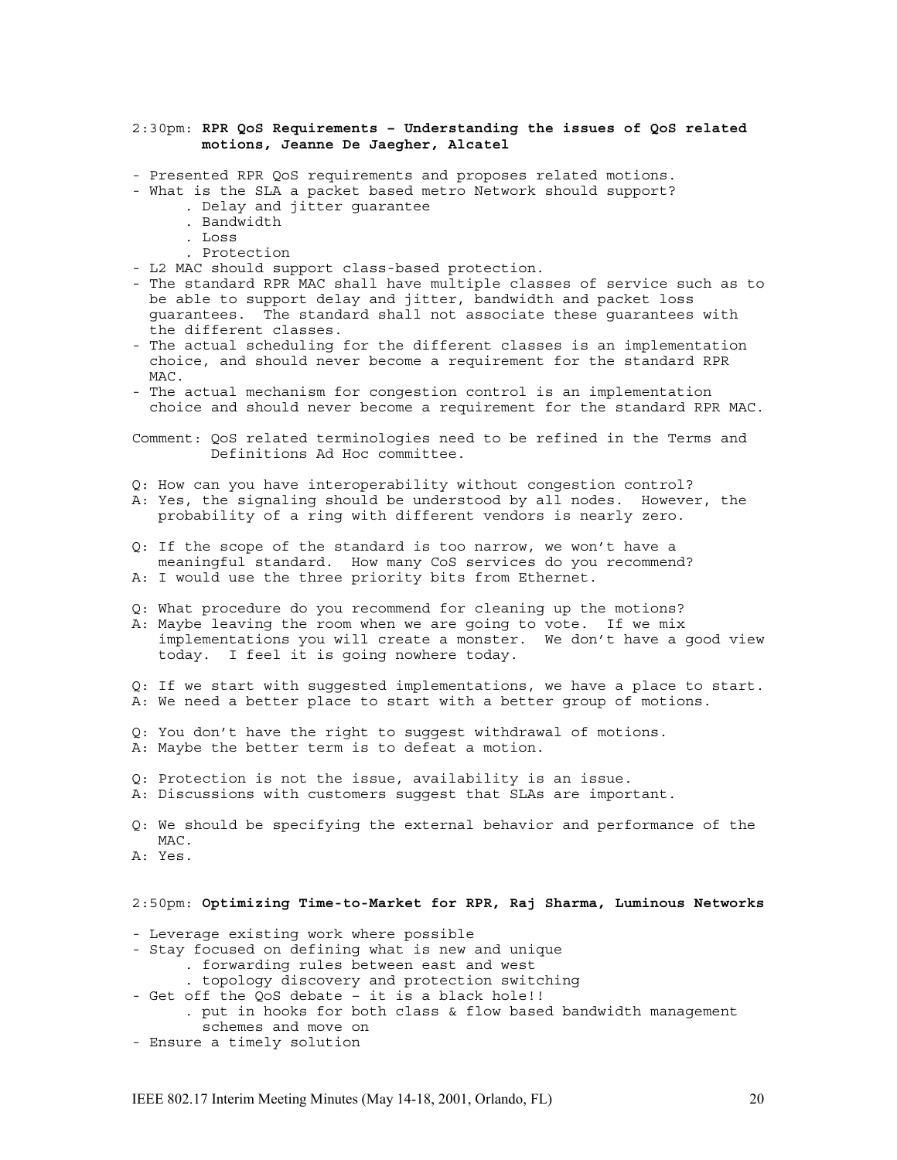### 2:30pm: **RPR QoS Requirements – Understanding the issues of QoS related motions, Jeanne De Jaegher, Alcatel**

- Presented RPR QoS requirements and proposes related motions.
- What is the SLA a packet based metro Network should support?
	- . Delay and jitter guarantee
	- . Bandwidth
	- . Loss
	- . Protection
- L2 MAC should support class-based protection.
- The standard RPR MAC shall have multiple classes of service such as to be able to support delay and jitter, bandwidth and packet loss guarantees. The standard shall not associate these guarantees with the different classes.
- The actual scheduling for the different classes is an implementation choice, and should never become a requirement for the standard RPR MAC.
- The actual mechanism for congestion control is an implementation choice and should never become a requirement for the standard RPR MAC.

Comment: QoS related terminologies need to be refined in the Terms and Definitions Ad Hoc committee.

- Q: How can you have interoperability without congestion control?
- A: Yes, the signaling should be understood by all nodes. However, the probability of a ring with different vendors is nearly zero.
- Q: If the scope of the standard is too narrow, we won't have a meaningful standard. How many CoS services do you recommend? A: I would use the three priority bits from Ethernet.
- Q: What procedure do you recommend for cleaning up the motions?
- A: Maybe leaving the room when we are going to vote. If we mix implementations you will create a monster. We don't have a good view today. I feel it is going nowhere today.
- Q: If we start with suggested implementations, we have a place to start. A: We need a better place to start with a better group of motions.
- Q: You don't have the right to suggest withdrawal of motions. A: Maybe the better term is to defeat a motion.
- 
- Q: Protection is not the issue, availability is an issue. A: Discussions with customers suggest that SLAs are important.

Q: We should be specifying the external behavior and performance of the MAC.

A: Yes.

# 2:50pm: **Optimizing Time-to-Market for RPR, Raj Sharma, Luminous Networks**

- Leverage existing work where possible
- Stay focused on defining what is new and unique
	- . forwarding rules between east and west
	- . topology discovery and protection switching
- Get off the QoS debate it is a black hole!!

. put in hooks for both class & flow based bandwidth management schemes and move on

- Ensure a timely solution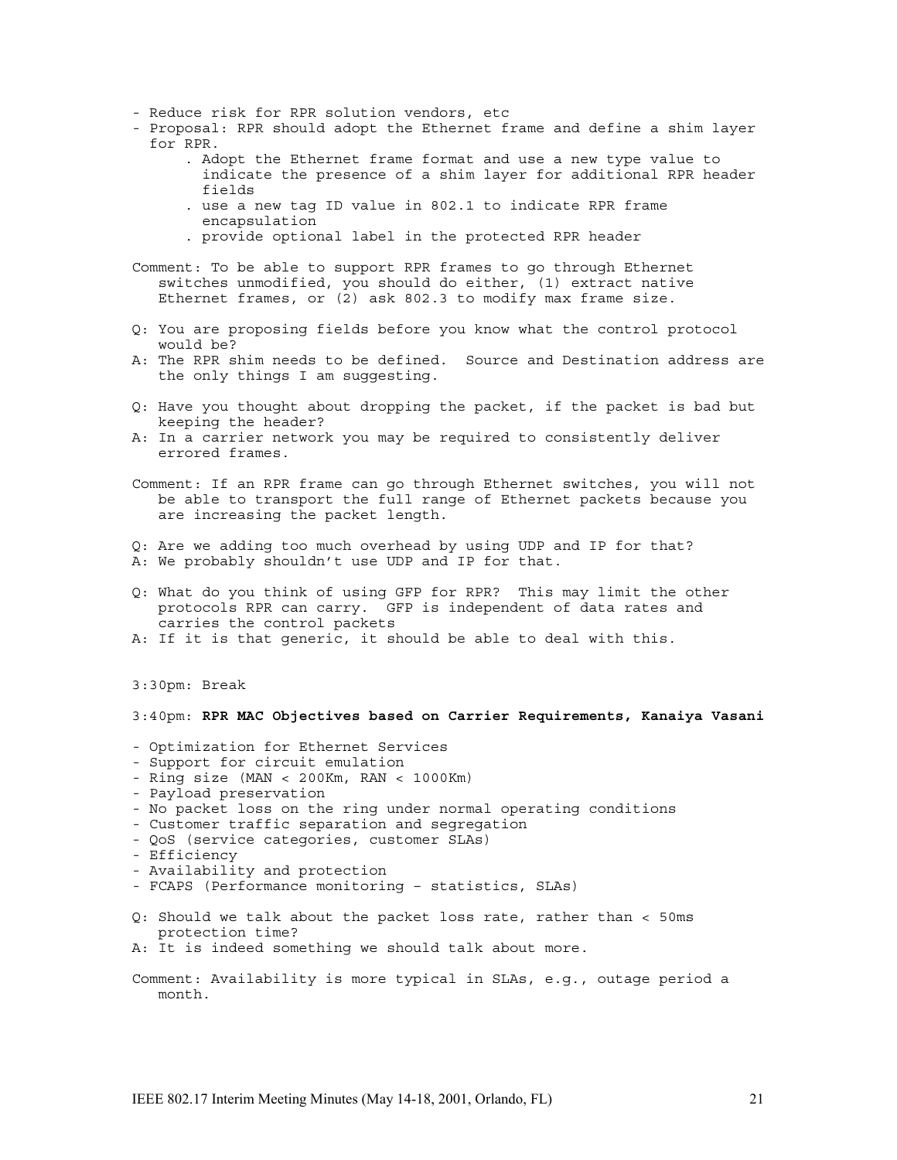- Reduce risk for RPR solution vendors, etc
- Proposal: RPR should adopt the Ethernet frame and define a shim layer for RPR.
	- . Adopt the Ethernet frame format and use a new type value to indicate the presence of a shim layer for additional RPR header fields
	- . use a new tag ID value in 802.1 to indicate RPR frame encapsulation
	- . provide optional label in the protected RPR header
- Comment: To be able to support RPR frames to go through Ethernet switches unmodified, you should do either, (1) extract native Ethernet frames, or (2) ask 802.3 to modify max frame size.
- Q: You are proposing fields before you know what the control protocol would be?
- A: The RPR shim needs to be defined. Source and Destination address are the only things I am suggesting.
- Q: Have you thought about dropping the packet, if the packet is bad but keeping the header?
- A: In a carrier network you may be required to consistently deliver errored frames.

Comment: If an RPR frame can go through Ethernet switches, you will not be able to transport the full range of Ethernet packets because you are increasing the packet length.

- Q: Are we adding too much overhead by using UDP and IP for that?
- A: We probably shouldn't use UDP and IP for that.
- Q: What do you think of using GFP for RPR? This may limit the other protocols RPR can carry. GFP is independent of data rates and carries the control packets
- A: If it is that generic, it should be able to deal with this.
- 3:30pm: Break

# 3:40pm: **RPR MAC Objectives based on Carrier Requirements, Kanaiya Vasani**

- Optimization for Ethernet Services
- Support for circuit emulation
- Ring size (MAN < 200Km, RAN < 1000Km)
- Payload preservation
- No packet loss on the ring under normal operating conditions
- Customer traffic separation and segregation
- QoS (service categories, customer SLAs)
- Efficiency
- Availability and protection
- FCAPS (Performance monitoring statistics, SLAs)
- Q: Should we talk about the packet loss rate, rather than < 50ms protection time?
- A: It is indeed something we should talk about more.
- Comment: Availability is more typical in SLAs, e.g., outage period a month.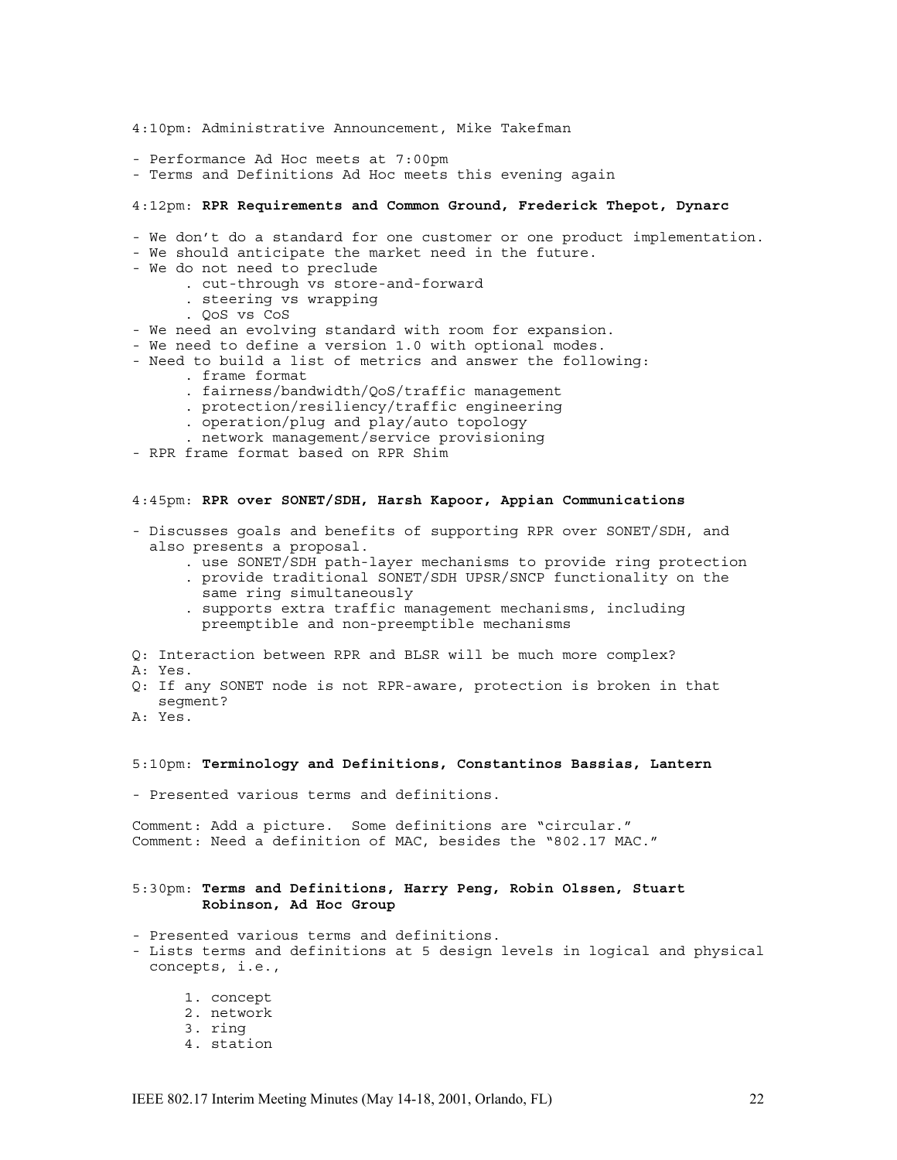4:10pm: Administrative Announcement, Mike Takefman - Performance Ad Hoc meets at 7:00pm - Terms and Definitions Ad Hoc meets this evening again 4:12pm: **RPR Requirements and Common Ground, Frederick Thepot, Dynarc** - We don't do a standard for one customer or one product implementation. - We should anticipate the market need in the future. - We do not need to preclude . cut-through vs store-and-forward . steering vs wrapping . QoS vs CoS - We need an evolving standard with room for expansion. - We need to define a version 1.0 with optional modes. - Need to build a list of metrics and answer the following: . frame format . fairness/bandwidth/QoS/traffic management . protection/resiliency/traffic engineering . operation/plug and play/auto topology . network management/service provisioning - RPR frame format based on RPR Shim 4:45pm: **RPR over SONET/SDH, Harsh Kapoor, Appian Communications** - Discusses goals and benefits of supporting RPR over SONET/SDH, and also presents a proposal. . use SONET/SDH path-layer mechanisms to provide ring protection . provide traditional SONET/SDH UPSR/SNCP functionality on the same ring simultaneously . supports extra traffic management mechanisms, including preemptible and non-preemptible mechanisms Q: Interaction between RPR and BLSR will be much more complex? A: Yes. Q: If any SONET node is not RPR-aware, protection is broken in that segment? A: Yes. 5:10pm: **Terminology and Definitions, Constantinos Bassias, Lantern** - Presented various terms and definitions. Comment: Add a picture. Some definitions are "circular." Comment: Need a definition of MAC, besides the "802.17 MAC." 5:30pm: **Terms and Definitions, Harry Peng, Robin Olssen, Stuart Robinson, Ad Hoc Group** - Presented various terms and definitions. - Lists terms and definitions at 5 design levels in logical and physical concepts, i.e., 1. concept 2. network 3. ring 4. station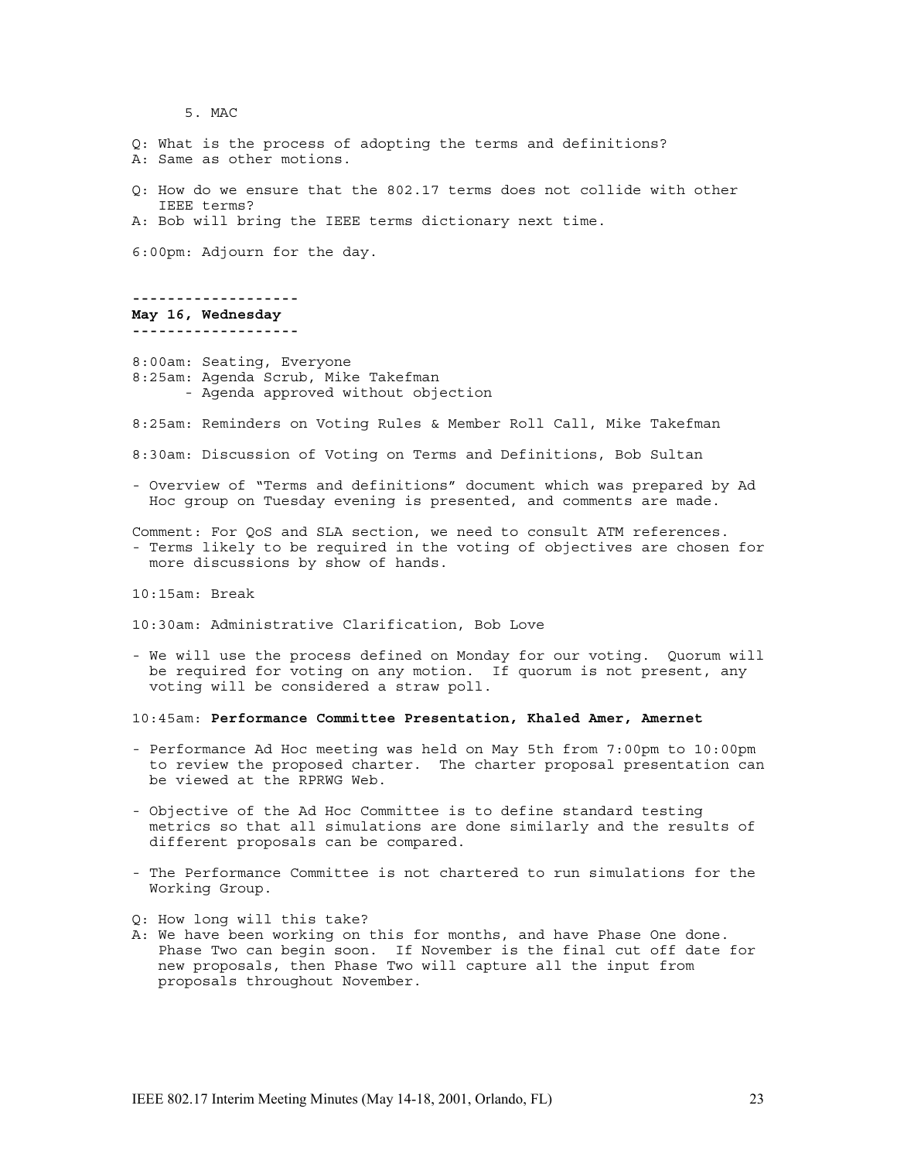5. MAC

Q: What is the process of adopting the terms and definitions? A: Same as other motions. Q: How do we ensure that the 802.17 terms does not collide with other IEEE terms? A: Bob will bring the IEEE terms dictionary next time. 6:00pm: Adjourn for the day. **------------------- May 16, Wednesday -------------------** 8:00am: Seating, Everyone 8:25am: Agenda Scrub, Mike Takefman - Agenda approved without objection 8:25am: Reminders on Voting Rules & Member Roll Call, Mike Takefman 8:30am: Discussion of Voting on Terms and Definitions, Bob Sultan - Overview of "Terms and definitions" document which was prepared by Ad Hoc group on Tuesday evening is presented, and comments are made. Comment: For QoS and SLA section, we need to consult ATM references. - Terms likely to be required in the voting of objectives are chosen for more discussions by show of hands. 10:15am: Break

10:30am: Administrative Clarification, Bob Love

- We will use the process defined on Monday for our voting. Quorum will be required for voting on any motion. If quorum is not present, any voting will be considered a straw poll.

10:45am: **Performance Committee Presentation, Khaled Amer, Amernet**

- Performance Ad Hoc meeting was held on May 5th from 7:00pm to 10:00pm to review the proposed charter. The charter proposal presentation can be viewed at the RPRWG Web.
- Objective of the Ad Hoc Committee is to define standard testing metrics so that all simulations are done similarly and the results of different proposals can be compared.
- The Performance Committee is not chartered to run simulations for the Working Group.
- Q: How long will this take?
- A: We have been working on this for months, and have Phase One done. Phase Two can begin soon. If November is the final cut off date for new proposals, then Phase Two will capture all the input from proposals throughout November.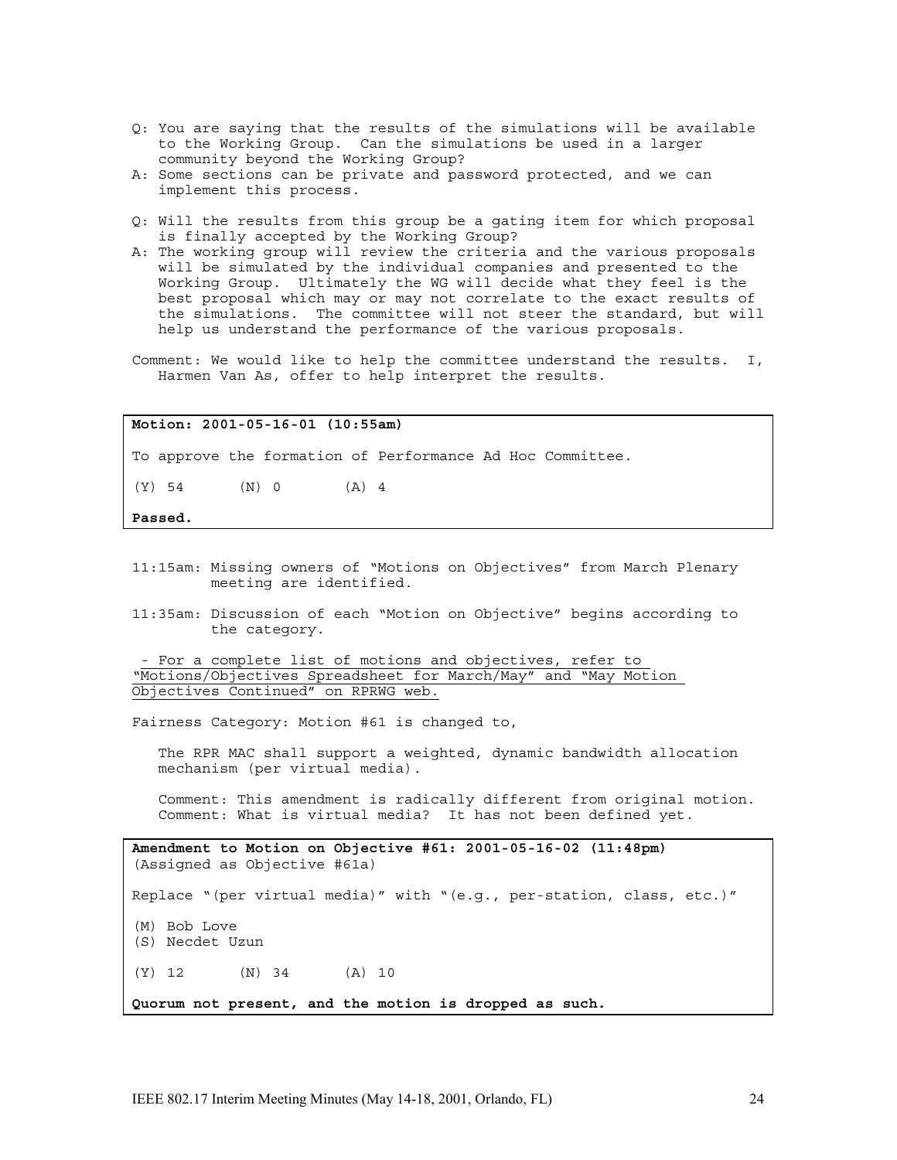- Q: You are saying that the results of the simulations will be available to the Working Group. Can the simulations be used in a larger community beyond the Working Group?
- A: Some sections can be private and password protected, and we can implement this process.
- Q: Will the results from this group be a gating item for which proposal is finally accepted by the Working Group?
- A: The working group will review the criteria and the various proposals will be simulated by the individual companies and presented to the Working Group. Ultimately the WG will decide what they feel is the best proposal which may or may not correlate to the exact results of the simulations. The committee will not steer the standard, but will help us understand the performance of the various proposals.
- Comment: We would like to help the committee understand the results. I, Harmen Van As, offer to help interpret the results.

**Motion: 2001-05-16-01 (10:55am)**

To approve the formation of Performance Ad Hoc Committee.

 $(Y)$  54  $(N)$  0  $(A)$  4

**Passed.**

- 11:15am: Missing owners of "Motions on Objectives" from March Plenary meeting are identified.
- 11:35am: Discussion of each "Motion on Objective" begins according to the category.

- For a complete list of motions and objectives, refer to "Motions/Objectives Spreadsheet for March/May" and "May Motion Objectives Continued" on RPRWG web.

Fairness Category: Motion #61 is changed to,

The RPR MAC shall support a weighted, dynamic bandwidth allocation mechanism (per virtual media).

Comment: This amendment is radically different from original motion. Comment: What is virtual media? It has not been defined yet.

**Amendment to Motion on Objective #61: 2001-05-16-02 (11:48pm)** (Assigned as Objective #61a) Replace "(per virtual media)" with "(e.g., per-station, class, etc.)" (M) Bob Love (S) Necdet Uzun (Y) 12 (N) 34 (A) 10 **Quorum not present, and the motion is dropped as such.**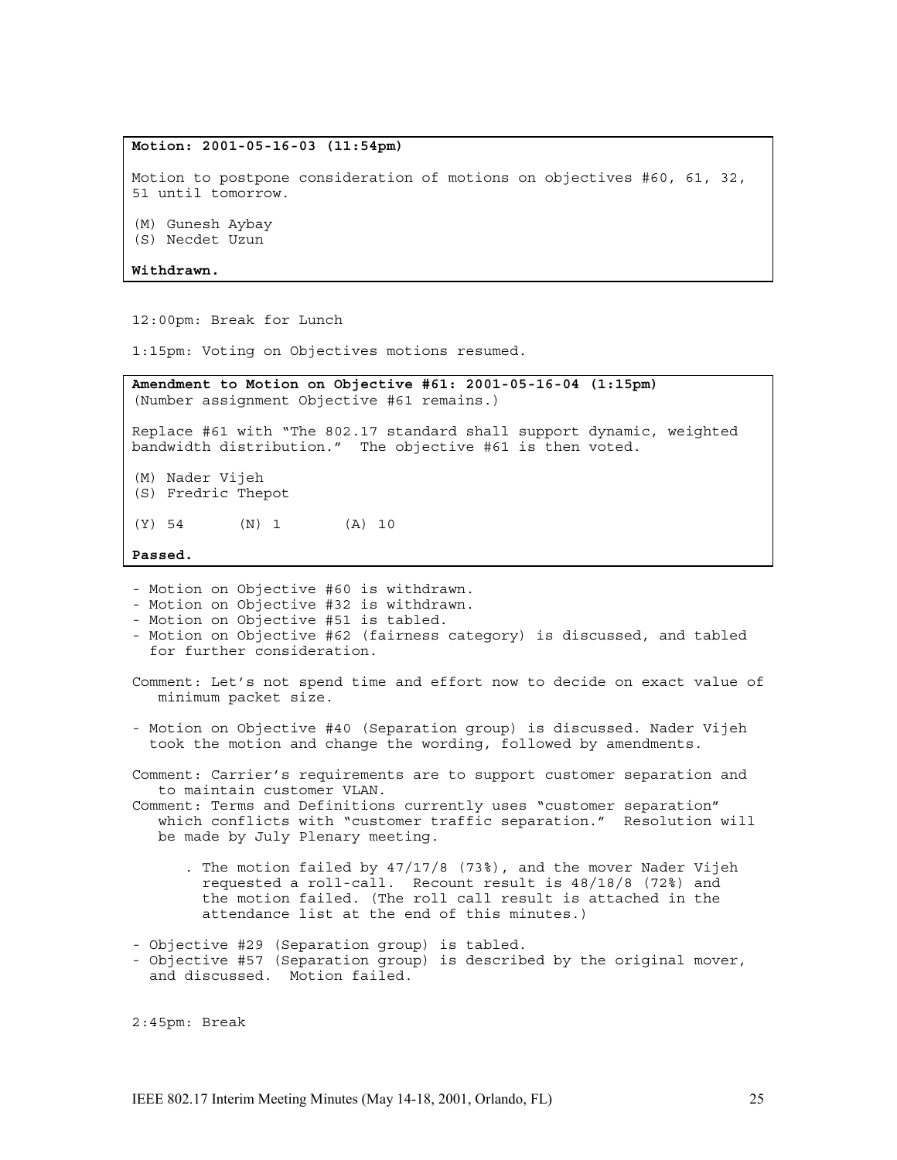# **Motion: 2001-05-16-03 (11:54pm)**

Motion to postpone consideration of motions on objectives #60, 61, 32, 51 until tomorrow.

(M) Gunesh Aybay

(S) Necdet Uzun

**Withdrawn.**

12:00pm: Break for Lunch

1:15pm: Voting on Objectives motions resumed.

**Amendment to Motion on Objective #61: 2001-05-16-04 (1:15pm)** (Number assignment Objective #61 remains.) Replace #61 with "The 802.17 standard shall support dynamic, weighted bandwidth distribution." The objective #61 is then voted. (M) Nader Vijeh (S) Fredric Thepot

(Y) 54 (N) 1 (A) 10

**Passed.**

- Motion on Objective #60 is withdrawn.

- Motion on Objective #32 is withdrawn.
- Motion on Objective #51 is tabled.
- Motion on Objective #62 (fairness category) is discussed, and tabled for further consideration.

Comment: Let's not spend time and effort now to decide on exact value of minimum packet size.

- Motion on Objective #40 (Separation group) is discussed. Nader Vijeh took the motion and change the wording, followed by amendments.

Comment: Carrier's requirements are to support customer separation and to maintain customer VLAN.

Comment: Terms and Definitions currently uses "customer separation" which conflicts with "customer traffic separation." Resolution will be made by July Plenary meeting.

. The motion failed by 47/17/8 (73%), and the mover Nader Vijeh requested a roll-call. Recount result is 48/18/8 (72%) and the motion failed. (The roll call result is attached in the attendance list at the end of this minutes.)

- Objective #29 (Separation group) is tabled. - Objective #57 (Separation group) is described by the original mover, and discussed. Motion failed.

2:45pm: Break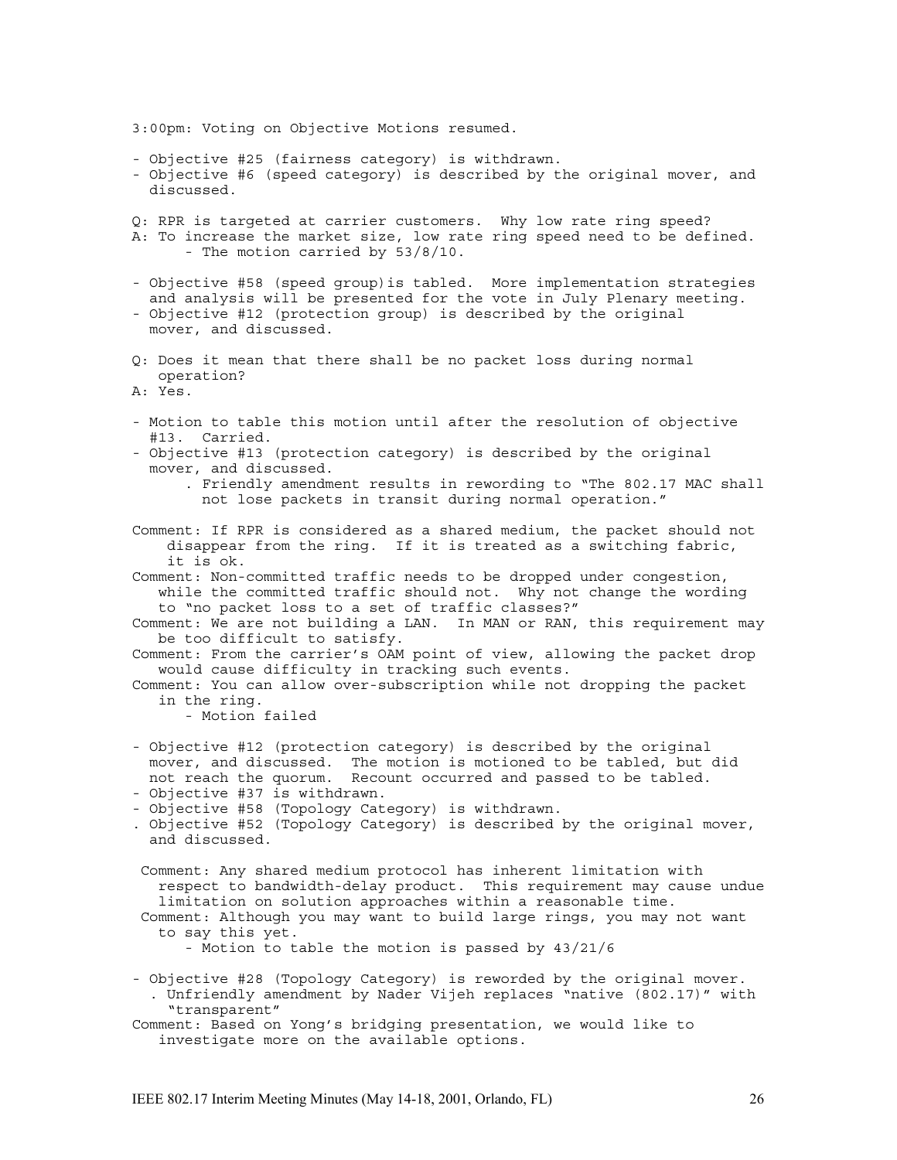3:00pm: Voting on Objective Motions resumed.

- Objective #25 (fairness category) is withdrawn.
- Objective #6 (speed category) is described by the original mover, and discussed.

Q: RPR is targeted at carrier customers. Why low rate ring speed? A: To increase the market size, low rate ring speed need to be defined. - The motion carried by 53/8/10.

- Objective #58 (speed group)is tabled. More implementation strategies and analysis will be presented for the vote in July Plenary meeting.
- Objective #12 (protection group) is described by the original mover, and discussed.
- Q: Does it mean that there shall be no packet loss during normal operation?

A: Yes.

- Motion to table this motion until after the resolution of objective #13. Carried.
- Objective #13 (protection category) is described by the original mover, and discussed.
	- . Friendly amendment results in rewording to "The 802.17 MAC shall not lose packets in transit during normal operation."

Comment: If RPR is considered as a shared medium, the packet should not disappear from the ring. If it is treated as a switching fabric, it is ok.

Comment: Non-committed traffic needs to be dropped under congestion, while the committed traffic should not. Why not change the wording to "no packet loss to a set of traffic classes?"

Comment: We are not building a LAN. In MAN or RAN, this requirement may be too difficult to satisfy.

Comment: From the carrier's OAM point of view, allowing the packet drop would cause difficulty in tracking such events.

Comment: You can allow over-subscription while not dropping the packet in the ring.

- Motion failed

- Objective #12 (protection category) is described by the original mover, and discussed. The motion is motioned to be tabled, but did not reach the quorum. Recount occurred and passed to be tabled.
- Objective #37 is withdrawn.
- Objective #58 (Topology Category) is withdrawn.
- . Objective #52 (Topology Category) is described by the original mover, and discussed.
- Comment: Any shared medium protocol has inherent limitation with respect to bandwidth-delay product. This requirement may cause undue limitation on solution approaches within a reasonable time.
- Comment: Although you may want to build large rings, you may not want to say this yet.
	- Motion to table the motion is passed by 43/21/6
- Objective #28 (Topology Category) is reworded by the original mover. . Unfriendly amendment by Nader Vijeh replaces "native (802.17)" with "transparent"
- Comment: Based on Yong's bridging presentation, we would like to investigate more on the available options.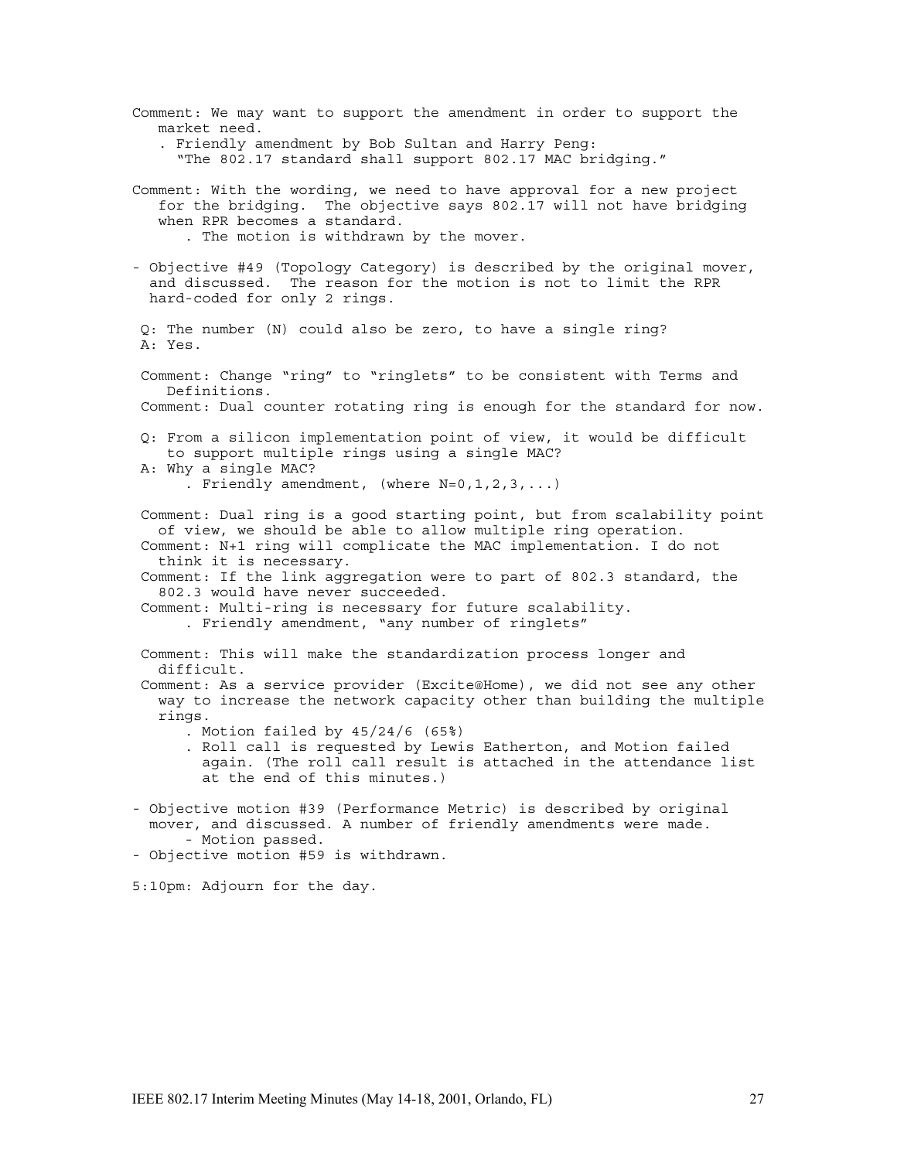Comment: We may want to support the amendment in order to support the market need. . Friendly amendment by Bob Sultan and Harry Peng: "The 802.17 standard shall support 802.17 MAC bridging." Comment: With the wording, we need to have approval for a new project for the bridging. The objective says 802.17 will not have bridging when RPR becomes a standard. . The motion is withdrawn by the mover. - Objective #49 (Topology Category) is described by the original mover, and discussed. The reason for the motion is not to limit the RPR hard-coded for only 2 rings. Q: The number (N) could also be zero, to have a single ring? A: Yes. Comment: Change "ring" to "ringlets" to be consistent with Terms and Definitions. Comment: Dual counter rotating ring is enough for the standard for now. Q: From a silicon implementation point of view, it would be difficult to support multiple rings using a single MAC? A: Why a single MAC? . Friendly amendment, (where  $N=0,1,2,3,...$ ) Comment: Dual ring is a good starting point, but from scalability point of view, we should be able to allow multiple ring operation. Comment: N+1 ring will complicate the MAC implementation. I do not think it is necessary. Comment: If the link aggregation were to part of 802.3 standard, the 802.3 would have never succeeded. Comment: Multi-ring is necessary for future scalability. . Friendly amendment, "any number of ringlets" Comment: This will make the standardization process longer and difficult. Comment: As a service provider (Excite@Home), we did not see any other way to increase the network capacity other than building the multiple rings. . Motion failed by 45/24/6 (65%) . Roll call is requested by Lewis Eatherton, and Motion failed again. (The roll call result is attached in the attendance list at the end of this minutes.) - Objective motion #39 (Performance Metric) is described by original mover, and discussed. A number of friendly amendments were made. - Motion passed. - Objective motion #59 is withdrawn. 5:10pm: Adjourn for the day.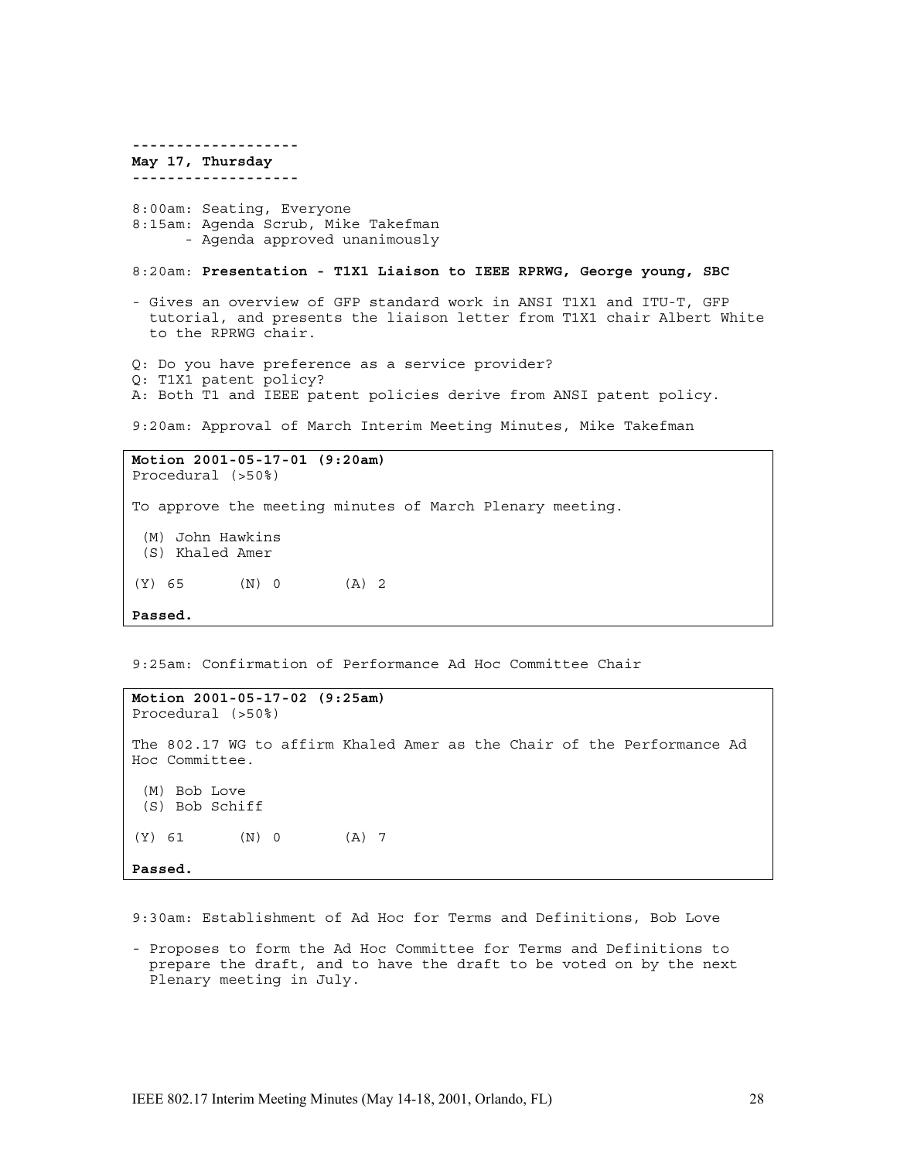**------------------- May 17, Thursday -------------------** 8:00am: Seating, Everyone 8:15am: Agenda Scrub, Mike Takefman - Agenda approved unanimously 8:20am: **Presentation - T1X1 Liaison to IEEE RPRWG, George young, SBC** - Gives an overview of GFP standard work in ANSI T1X1 and ITU-T, GFP tutorial, and presents the liaison letter from T1X1 chair Albert White to the RPRWG chair. Q: Do you have preference as a service provider? Q: T1X1 patent policy? A: Both T1 and IEEE patent policies derive from ANSI patent policy. 9:20am: Approval of March Interim Meeting Minutes, Mike Takefman

**Motion 2001-05-17-01 (9:20am)** Procedural (>50%) To approve the meeting minutes of March Plenary meeting. (M) John Hawkins (S) Khaled Amer  $(Y)$  65  $(N)$  0  $(A)$  2 **Passed.**

9:25am: Confirmation of Performance Ad Hoc Committee Chair

**Motion 2001-05-17-02 (9:25am)** Procedural (>50%) The 802.17 WG to affirm Khaled Amer as the Chair of the Performance Ad Hoc Committee. (M) Bob Love (S) Bob Schiff (Y) 61 (N) 0 (A) 7 **Passed.**

9:30am: Establishment of Ad Hoc for Terms and Definitions, Bob Love

- Proposes to form the Ad Hoc Committee for Terms and Definitions to prepare the draft, and to have the draft to be voted on by the next Plenary meeting in July.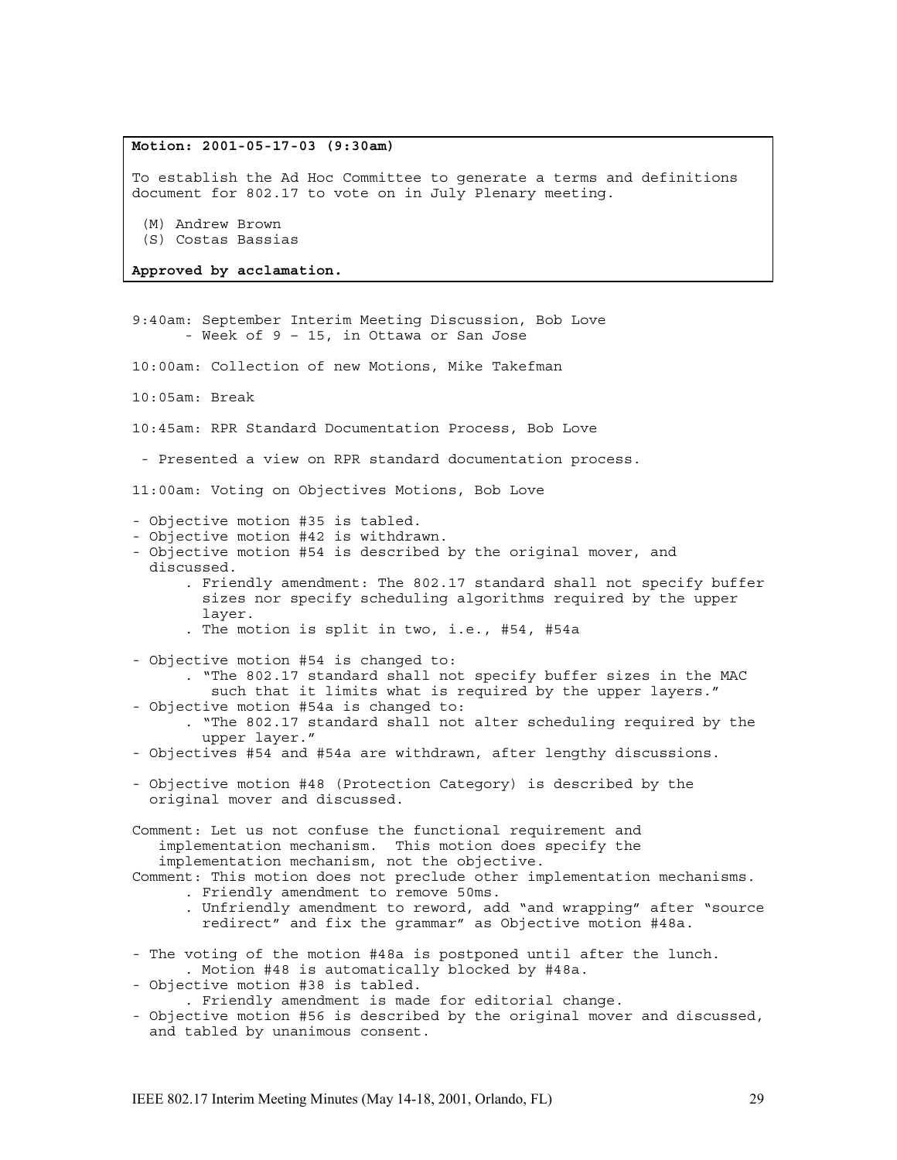# **Motion: 2001-05-17-03 (9:30am)**

To establish the Ad Hoc Committee to generate a terms and definitions document for 802.17 to vote on in July Plenary meeting.

(M) Andrew Brown

(S) Costas Bassias

**Approved by acclamation.**

9:40am: September Interim Meeting Discussion, Bob Love - Week of 9 – 15, in Ottawa or San Jose

10:00am: Collection of new Motions, Mike Takefman

10:05am: Break

10:45am: RPR Standard Documentation Process, Bob Love

- Presented a view on RPR standard documentation process.

11:00am: Voting on Objectives Motions, Bob Love

- Objective motion #35 is tabled.
- Objective motion #42 is withdrawn.
- Objective motion #54 is described by the original mover, and discussed.
	- . Friendly amendment: The 802.17 standard shall not specify buffer sizes nor specify scheduling algorithms required by the upper layer.
	- . The motion is split in two, i.e., #54, #54a
- Objective motion #54 is changed to:
	- . "The 802.17 standard shall not specify buffer sizes in the MAC
- such that it limits what is required by the upper layers." - Objective motion #54a is changed to:
	- . "The 802.17 standard shall not alter scheduling required by the upper layer."
- Objectives #54 and #54a are withdrawn, after lengthy discussions.
- Objective motion #48 (Protection Category) is described by the original mover and discussed.

Comment: Let us not confuse the functional requirement and implementation mechanism. This motion does specify the implementation mechanism, not the objective.

Comment: This motion does not preclude other implementation mechanisms. . Friendly amendment to remove 50ms.

- . Unfriendly amendment to reword, add "and wrapping" after "source redirect" and fix the grammar" as Objective motion #48a.
- The voting of the motion #48a is postponed until after the lunch. . Motion #48 is automatically blocked by #48a.
- Objective motion #38 is tabled.

. Friendly amendment is made for editorial change.

- Objective motion #56 is described by the original mover and discussed, and tabled by unanimous consent.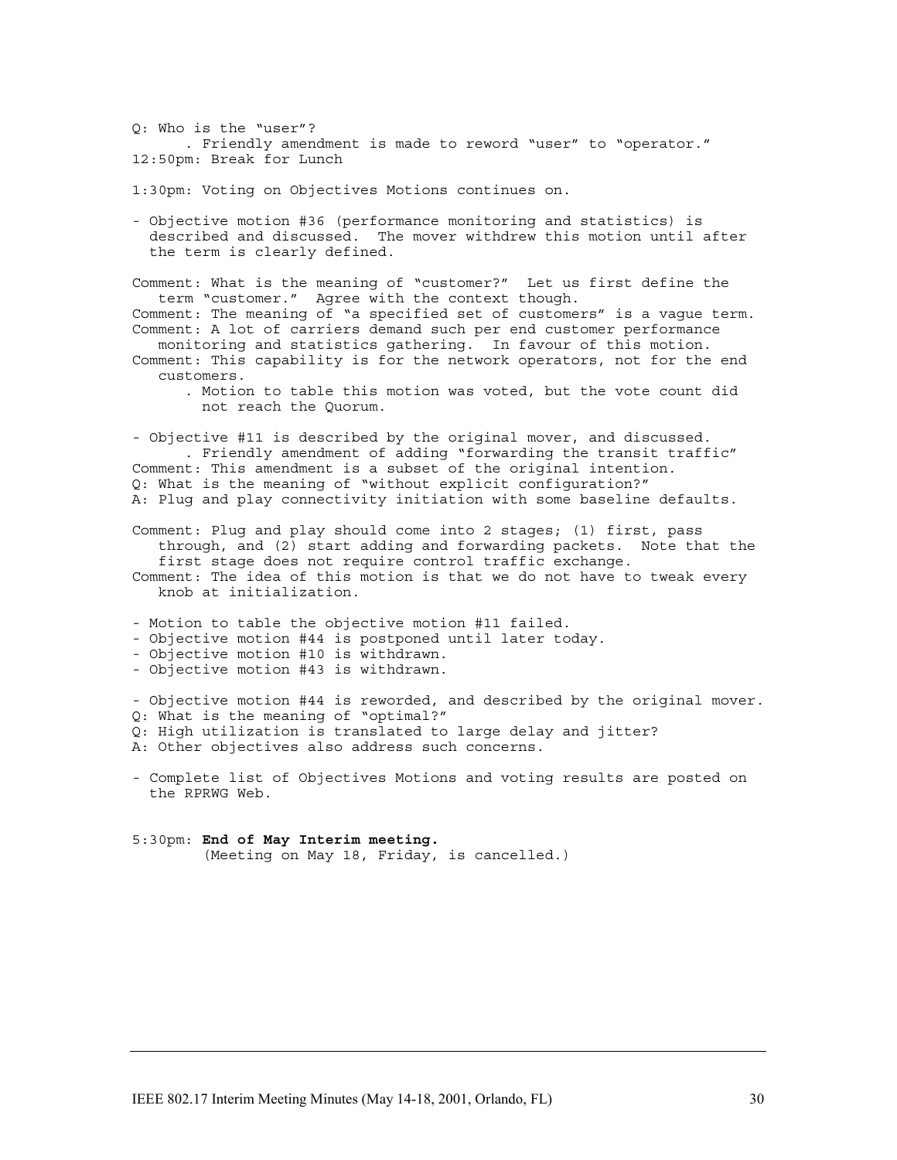Q: Who is the "user"? . Friendly amendment is made to reword "user" to "operator." 12:50pm: Break for Lunch

1:30pm: Voting on Objectives Motions continues on.

- Objective motion #36 (performance monitoring and statistics) is described and discussed. The mover withdrew this motion until after the term is clearly defined.

Comment: What is the meaning of "customer?" Let us first define the term "customer." Agree with the context though. Comment: The meaning of "a specified set of customers" is a vague term. Comment: A lot of carriers demand such per end customer performance monitoring and statistics gathering. In favour of this motion.

- Comment: This capability is for the network operators, not for the end customers.
	- . Motion to table this motion was voted, but the vote count did not reach the Quorum.

- Objective #11 is described by the original mover, and discussed. . Friendly amendment of adding "forwarding the transit traffic" Comment: This amendment is a subset of the original intention. Q: What is the meaning of "without explicit configuration?" A: Plug and play connectivity initiation with some baseline defaults. Comment: Plug and play should come into 2 stages; (1) first, pass through, and (2) start adding and forwarding packets. Note that the

first stage does not require control traffic exchange. Comment: The idea of this motion is that we do not have to tweak every knob at initialization.

- Motion to table the objective motion #11 failed.

- Objective motion #44 is postponed until later today.

- Objective motion #10 is withdrawn.
- Objective motion #43 is withdrawn.

- Objective motion #44 is reworded, and described by the original mover. Q: What is the meaning of "optimal?" Q: High utilization is translated to large delay and jitter?

A: Other objectives also address such concerns.

- Complete list of Objectives Motions and voting results are posted on the RPRWG Web.

5:30pm: **End of May Interim meeting.** (Meeting on May 18, Friday, is cancelled.)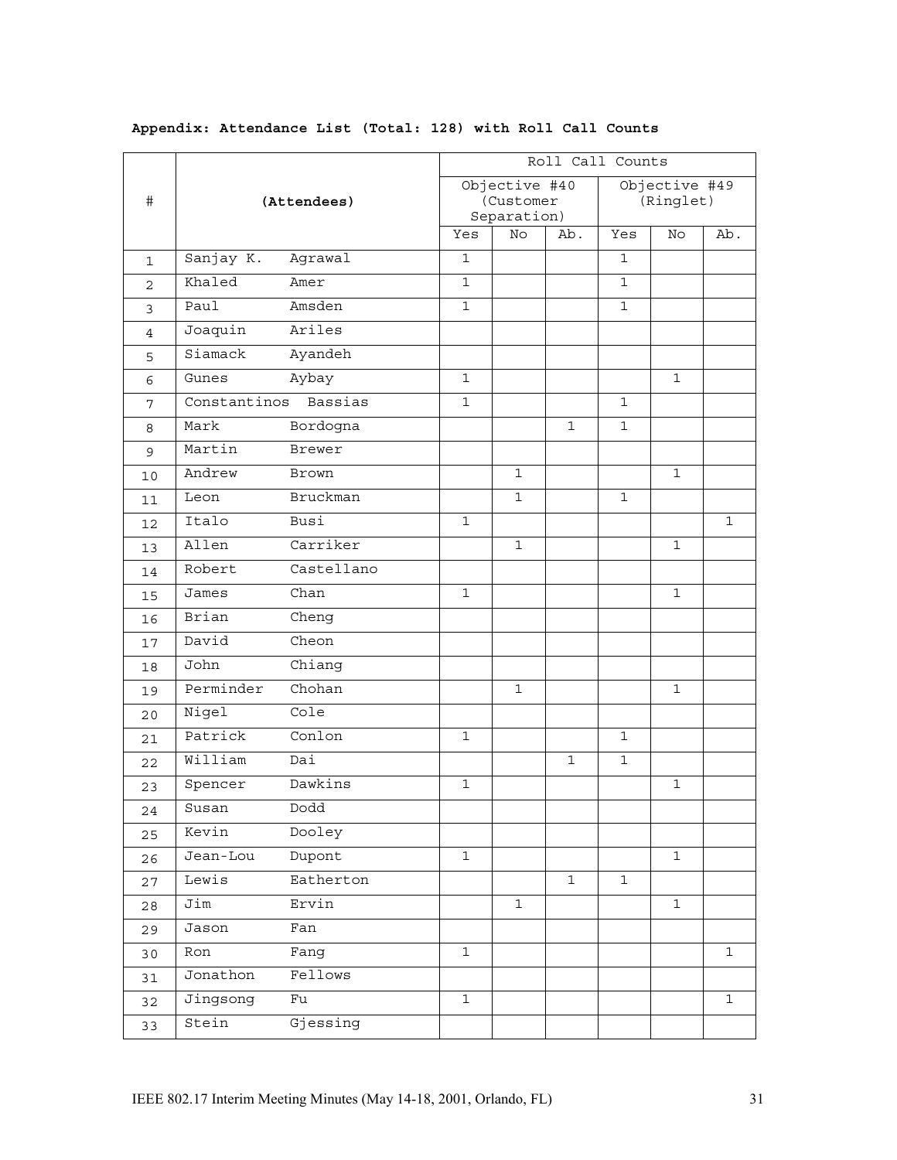| $\#$           | (Attendees)  | Roll Call Counts                          |              |              |                            |              |              |              |
|----------------|--------------|-------------------------------------------|--------------|--------------|----------------------------|--------------|--------------|--------------|
|                |              | Objective #40<br>(Customer<br>Separation) |              |              | Objective #49<br>(Ringlet) |              |              |              |
|                |              |                                           | Yes          | No           | Ab.                        | Yes          | No.          | Ab.          |
| $\mathbf{1}$   | Sanjay K.    | Agrawal                                   | $\mathbf{1}$ |              |                            | $\mathbf{1}$ |              |              |
| $\overline{c}$ | Khaled       | Amer                                      | $\mathbf{1}$ |              |                            | $\mathbf{1}$ |              |              |
| 3              | Paul         | Amsden                                    | $\mathbf{1}$ |              |                            | $\mathbf{1}$ |              |              |
| 4              | Joaquin      | Ariles                                    |              |              |                            |              |              |              |
| 5              | Siamack      | Ayandeh                                   |              |              |                            |              |              |              |
| 6              | Gunes        | Aybay                                     | $\mathbf{1}$ |              |                            |              | $\mathbf 1$  |              |
| 7              | Constantinos | Bassias                                   | $\mathbf{1}$ |              |                            | $\mathbf{1}$ |              |              |
| 8              | Mark         | Bordogna                                  |              |              | $\mathbf 1$                | $\mathbf{1}$ |              |              |
| $\mathsf 9$    | Martin       | Brewer                                    |              |              |                            |              |              |              |
| 10             | Andrew       | <b>Brown</b>                              |              | $\mathbf{1}$ |                            |              | $\mathbf 1$  |              |
| 11             | Leon         | <b>Bruckman</b>                           |              | $\mathbf{1}$ |                            | $\mathbf 1$  |              |              |
| 12             | Italo        | Busi                                      | $\mathbf{1}$ |              |                            |              |              | $\mathbf 1$  |
| 13             | Allen        | Carriker                                  |              | $\mathbf{1}$ |                            |              | $\mathbf 1$  |              |
| 14             | Robert       | Castellano                                |              |              |                            |              |              |              |
| 15             | James        | Chan                                      | 1            |              |                            |              | $\mathbf 1$  |              |
| 16             | Brian        | Cheng                                     |              |              |                            |              |              |              |
| 17             | David        | Cheon                                     |              |              |                            |              |              |              |
| 18             | John         | Chiang                                    |              |              |                            |              |              |              |
| 19             | Perminder    | Chohan                                    |              | $\mathbf{1}$ |                            |              | 1            |              |
| 20             | Nigel        | Cole                                      |              |              |                            |              |              |              |
| 21             | Patrick      | Conlon                                    | $\mathbf{1}$ |              |                            | $\mathbf{1}$ |              |              |
| 22             | William      | Dai                                       |              |              | $\mathbf{1}$               | $\mathbf{1}$ |              |              |
| 23             | Spencer      | Dawkins                                   | 1            |              |                            |              | 1            |              |
| 24             | Susan        | Dodd                                      |              |              |                            |              |              |              |
| 25             | Kevin        | Dooley                                    |              |              |                            |              |              |              |
| 26             | Jean-Lou     | Dupont                                    | $\mathbf{1}$ |              |                            |              | $\mathbf{1}$ |              |
| 27             | Lewis        | Eatherton                                 |              |              | $\mathbf{1}$               | $\mathbf 1$  |              |              |
| 28             | Jim          | Ervin                                     |              | $\mathbf{1}$ |                            |              | $\mathbf{1}$ |              |
| 29             | Jason        | Fan                                       |              |              |                            |              |              |              |
| 30             | Ron          | Fang                                      | $\mathbf{1}$ |              |                            |              |              | $\mathbf 1$  |
| 31             | Jonathon     | Fellows                                   |              |              |                            |              |              |              |
| 32             | Jingsong     | Fu                                        | $\mathbf{1}$ |              |                            |              |              | $\mathbf{1}$ |
| 33             | Stein        | Gjessing                                  |              |              |                            |              |              |              |

# **Appendix: Attendance List (Total: 128) with Roll Call Counts**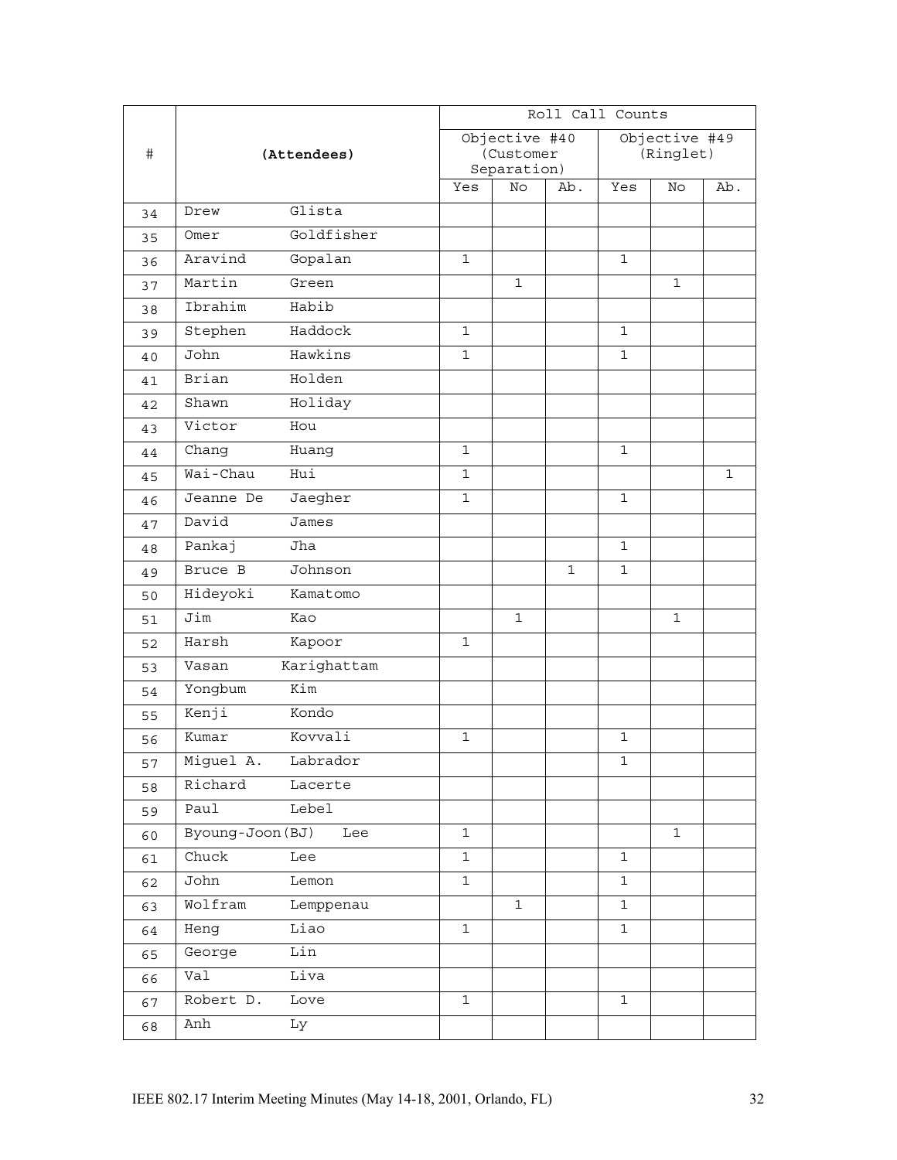|      |                       | Roll Call Counts         |              |              |               |             |              |  |
|------|-----------------------|--------------------------|--------------|--------------|---------------|-------------|--------------|--|
| $\#$ |                       | Objective #40            |              |              | Objective #49 |             |              |  |
|      | (Attendees)           | (Customer<br>Separation) |              |              | (Ringlet)     |             |              |  |
|      |                       | Yes                      | No           | Ab.          | Yes           | No          | Ab.          |  |
| 34   | Glista<br>Drew        |                          |              |              |               |             |              |  |
| 35   | Goldfisher<br>Omer    |                          |              |              |               |             |              |  |
| 36   | Aravind<br>Gopalan    | $\mathbf 1$              |              |              | $\mathbf{1}$  |             |              |  |
| 37   | Martin<br>Green       |                          | 1            |              |               | $\mathbf 1$ |              |  |
| 38   | Habib<br>Ibrahim      |                          |              |              |               |             |              |  |
| 39   | Haddock<br>Stephen    | $\mathbf{1}$             |              |              | $\mathbf 1$   |             |              |  |
| 40   | Hawkins<br>John       | $\mathbf{1}$             |              |              | $\mathbf 1$   |             |              |  |
| 41   | Holden<br>Brian       |                          |              |              |               |             |              |  |
| 42   | Holiday<br>Shawn      |                          |              |              |               |             |              |  |
| 43   | Victor<br>Hou         |                          |              |              |               |             |              |  |
| 44   | Chang<br>Huang        | $\mathbf 1$              |              |              | $\mathbf 1$   |             |              |  |
| 45   | Wai-Chau<br>Hui       | $\mathbf{1}$             |              |              |               |             | $\mathbf{1}$ |  |
| 46   | Jeanne De<br>Jaegher  | $\mathbf{1}$             |              |              | $\mathbf{1}$  |             |              |  |
| 47   | David<br>James        |                          |              |              |               |             |              |  |
| 48   | Pankaj<br>Jha         |                          |              |              | $\mathbf 1$   |             |              |  |
| 49   | Bruce B<br>Johnson    |                          |              | $\mathbf{1}$ | $\mathbf 1$   |             |              |  |
| 50   | Hideyoki<br>Kamatomo  |                          |              |              |               |             |              |  |
| 51   | Jim<br>Kao            |                          | $\mathbf{1}$ |              |               | $\mathbf 1$ |              |  |
| 52   | Harsh<br>Kapoor       | $\mathbf{1}$             |              |              |               |             |              |  |
| 53   | Karighattam<br>Vasan  |                          |              |              |               |             |              |  |
| 54   | Kim<br>Yongbum        |                          |              |              |               |             |              |  |
| 55   | Kenji<br>Kondo        |                          |              |              |               |             |              |  |
| 56   | Kovvali<br>Kumar      | $\mathbf{1}$             |              |              | $\mathbf{1}$  |             |              |  |
| 57   | Miguel A.<br>Labrador |                          |              |              | 1             |             |              |  |
| 58   | Richard<br>Lacerte    |                          |              |              |               |             |              |  |
| 59   | Paul<br>Lebel         |                          |              |              |               |             |              |  |
| 60   | Byoung-Joon (BJ) Lee  | $\mathbf{1}$             |              |              |               | $\mathbf 1$ |              |  |
| 61   | Chuck<br>Lee          | $\mathbf{1}$             |              |              | $\mathbf 1$   |             |              |  |
| 62   | John<br>Lemon         | $\mathbf{1}$             |              |              | 1             |             |              |  |
| 63   | Wolfram<br>Lemppenau  |                          | $\mathbf{1}$ |              | $\mathbf{1}$  |             |              |  |
| 64   | Heng<br>Liao          | $\mathbf{1}$             |              |              | $\mathbf{1}$  |             |              |  |
| 65   | George<br>Lin         |                          |              |              |               |             |              |  |
| 66   | Liva<br>Val           |                          |              |              |               |             |              |  |
| 67   | Robert D.<br>Love     | $\mathbf{1}$             |              |              | $\mathbf{1}$  |             |              |  |
| 68   | Anh<br>Ly             |                          |              |              |               |             |              |  |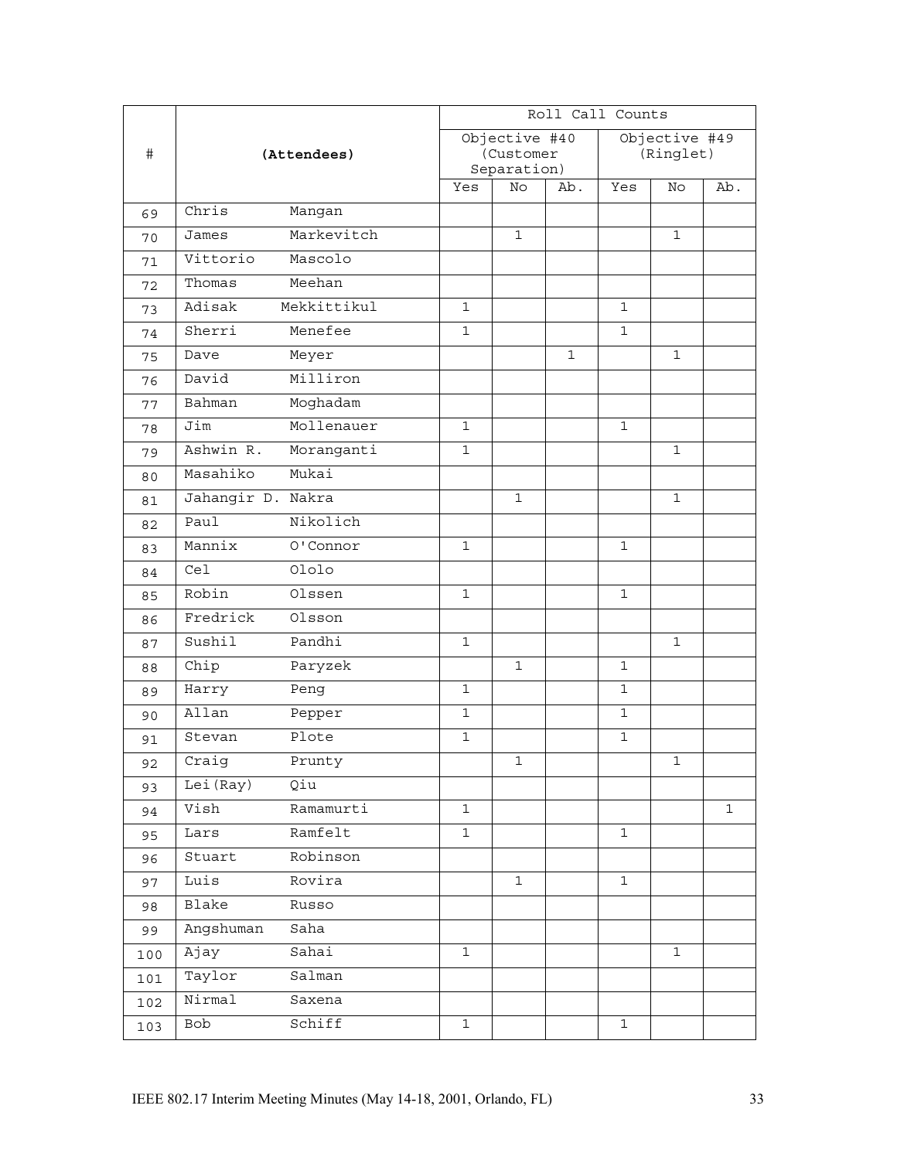|      | (Attendees)             | Roll Call Counts         |              |              |               |              |             |  |
|------|-------------------------|--------------------------|--------------|--------------|---------------|--------------|-------------|--|
| $\#$ |                         | Objective #40            |              |              | Objective #49 |              |             |  |
|      |                         | (Customer<br>Separation) |              |              | (Ringlet)     |              |             |  |
|      |                         | Yes                      | No           | Ab.          | Yes           | No           | Ab.         |  |
| 69   | Chris<br>Mangan         |                          |              |              |               |              |             |  |
| 70   | Markevitch<br>James     |                          | $\mathbf{1}$ |              |               | $\mathbf{1}$ |             |  |
| 71   | Vittorio<br>Mascolo     |                          |              |              |               |              |             |  |
| 72   | Thomas<br>Meehan        |                          |              |              |               |              |             |  |
| 73   | Adisak<br>Mekkittikul   | $\mathbf 1$              |              |              | $\mathbf 1$   |              |             |  |
| 74   | Sherri<br>Menefee       | $\mathbf{1}$             |              |              | $\mathbf 1$   |              |             |  |
| 75   | Dave<br>Meyer           |                          |              | $\mathbf{1}$ |               | $\mathbf{1}$ |             |  |
| 76   | Milliron<br>David       |                          |              |              |               |              |             |  |
| 77   | Moghadam<br>Bahman      |                          |              |              |               |              |             |  |
| 78   | Jim<br>Mollenauer       | $\mathbf{1}$             |              |              | $\mathbf{1}$  |              |             |  |
| 79   | Ashwin R.<br>Moranganti | $\mathbf{1}$             |              |              |               | $\mathbf{1}$ |             |  |
| 80   | Masahiko<br>Mukai       |                          |              |              |               |              |             |  |
| 81   | Jahangir D. Nakra       |                          | $\mathbf{1}$ |              |               | $\mathbf 1$  |             |  |
| 82   | Paul<br>Nikolich        |                          |              |              |               |              |             |  |
| 83   | 0'Connor<br>Mannix      | $\mathbf{1}$             |              |              | $\mathbf 1$   |              |             |  |
| 84   | Ololo<br>Cel            |                          |              |              |               |              |             |  |
| 85   | Robin<br>Olssen         | $\mathbf{1}$             |              |              | $\mathbf 1$   |              |             |  |
| 86   | Fredrick<br>Olsson      |                          |              |              |               |              |             |  |
| 87   | Sushil<br>Pandhi        | $\mathbf{1}$             |              |              |               | $\mathbf 1$  |             |  |
| 88   | Chip<br>Paryzek         |                          | $\mathbf{1}$ |              | $\mathbf 1$   |              |             |  |
| 89   | Harry<br>Peng           | $\mathbf{1}$             |              |              | $\mathbf 1$   |              |             |  |
| 90   | Allan<br>Pepper         | $\mathbf{1}$             |              |              | $\mathbf{1}$  |              |             |  |
| 91   | Plote<br>Stevan         | $\mathbf{1}$             |              |              | $\mathbf 1$   |              |             |  |
| 92   | Craig<br>Prunty         |                          | $\mathbf 1$  |              |               | $\mathbf 1$  |             |  |
| 93   | Lei(Ray)<br>Qiu         |                          |              |              |               |              |             |  |
| 94   | Ramamurti<br>Vish       | 1                        |              |              |               |              | $\mathbf 1$ |  |
| 95   | Ramfelt<br>Lars         | 1                        |              |              | $\mathbf 1$   |              |             |  |
| 96   | Robinson<br>Stuart      |                          |              |              |               |              |             |  |
| 97   | Luis<br>Rovira          |                          | $\mathbf{1}$ |              | $\mathbf{1}$  |              |             |  |
| 98   | Blake<br>Russo          |                          |              |              |               |              |             |  |
| 99   | Angshuman<br>Saha       |                          |              |              |               |              |             |  |
| 100  | Ајау<br>Sahai           | $\mathbf 1$              |              |              |               | $1\,$        |             |  |
| 101  | Taylor<br>Salman        |                          |              |              |               |              |             |  |
| 102  | Nirmal<br>Saxena        |                          |              |              |               |              |             |  |
| 103  | Schiff<br>Bob           | $\mathbf{1}$             |              |              | $\mathbf 1$   |              |             |  |